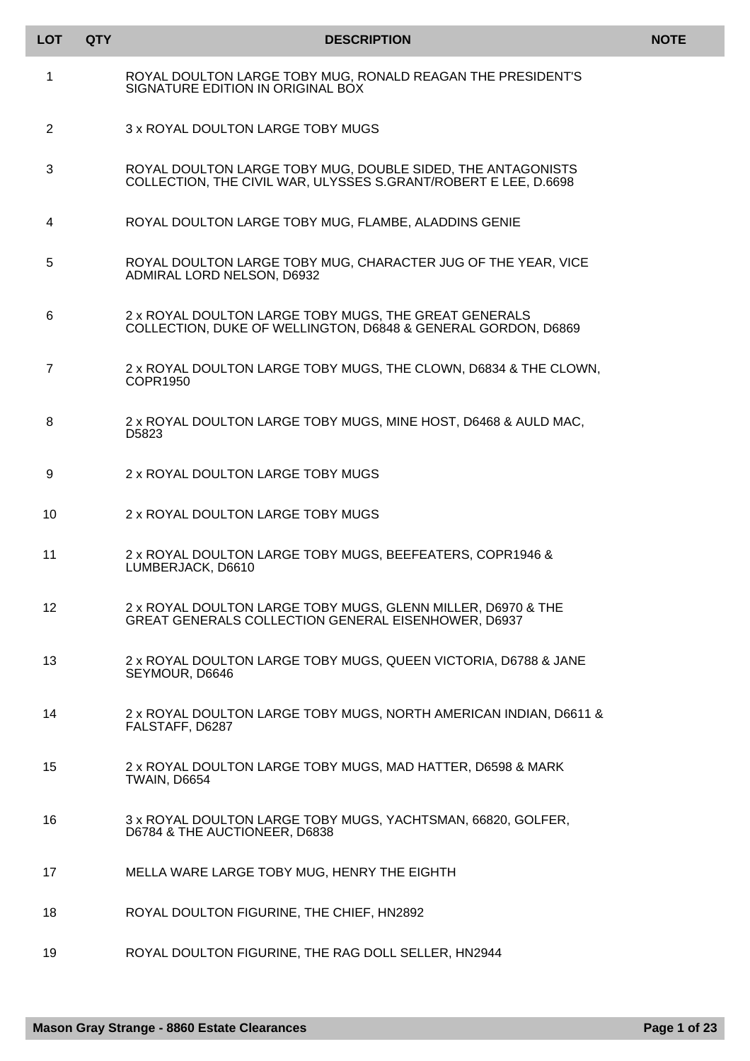| <b>LOT</b>      | <b>QTY</b> | <b>DESCRIPTION</b>                                                                                                             | <b>NOTE</b> |
|-----------------|------------|--------------------------------------------------------------------------------------------------------------------------------|-------------|
| 1               |            | ROYAL DOULTON LARGE TOBY MUG, RONALD REAGAN THE PRESIDENT'S<br>SIGNATURE EDITION IN ORIGINAL BOX                               |             |
| 2               |            | 3 x ROYAL DOULTON LARGE TOBY MUGS                                                                                              |             |
| 3               |            | ROYAL DOULTON LARGE TOBY MUG, DOUBLE SIDED, THE ANTAGONISTS<br>COLLECTION, THE CIVIL WAR, ULYSSES S.GRANT/ROBERT E LEE, D.6698 |             |
| 4               |            | ROYAL DOULTON LARGE TOBY MUG, FLAMBE, ALADDINS GENIE                                                                           |             |
| 5               |            | ROYAL DOULTON LARGE TOBY MUG, CHARACTER JUG OF THE YEAR, VICE<br>ADMIRAL LORD NELSON, D6932                                    |             |
| 6               |            | 2 x ROYAL DOULTON LARGE TOBY MUGS, THE GREAT GENERALS<br>COLLECTION, DUKE OF WELLINGTON, D6848 & GENERAL GORDON, D6869         |             |
| $\overline{7}$  |            | 2 x ROYAL DOULTON LARGE TOBY MUGS, THE CLOWN, D6834 & THE CLOWN,<br>COPR1950                                                   |             |
| 8               |            | 2 x ROYAL DOULTON LARGE TOBY MUGS, MINE HOST, D6468 & AULD MAC,<br>D5823                                                       |             |
| 9               |            | 2 x ROYAL DOULTON LARGE TOBY MUGS                                                                                              |             |
| 10              |            | 2 x ROYAL DOULTON LARGE TOBY MUGS                                                                                              |             |
| 11              |            | 2 x ROYAL DOULTON LARGE TOBY MUGS, BEEFEATERS, COPR1946 &<br>LUMBERJACK, D6610                                                 |             |
| 12 <sup>°</sup> |            | 2 x ROYAL DOULTON LARGE TOBY MUGS, GLENN MILLER, D6970 & THE<br>GREAT GENERALS COLLECTION GENERAL EISENHOWER, D6937            |             |
| 13              |            | 2 x ROYAL DOULTON LARGE TOBY MUGS, QUEEN VICTORIA, D6788 & JANE<br>SEYMOUR, D6646                                              |             |
| 14              |            | 2 x ROYAL DOULTON LARGE TOBY MUGS, NORTH AMERICAN INDIAN, D6611 &<br>FALSTAFF, D6287                                           |             |
| 15              |            | 2 x ROYAL DOULTON LARGE TOBY MUGS, MAD HATTER, D6598 & MARK<br><b>TWAIN, D6654</b>                                             |             |
| 16              |            | 3 x ROYAL DOULTON LARGE TOBY MUGS, YACHTSMAN, 66820, GOLFER,<br>D6784 & THE AUCTIONEER, D6838                                  |             |
| 17              |            | MELLA WARE LARGE TOBY MUG, HENRY THE EIGHTH                                                                                    |             |
| 18              |            | ROYAL DOULTON FIGURINE, THE CHIEF, HN2892                                                                                      |             |
| 19              |            | ROYAL DOULTON FIGURINE, THE RAG DOLL SELLER, HN2944                                                                            |             |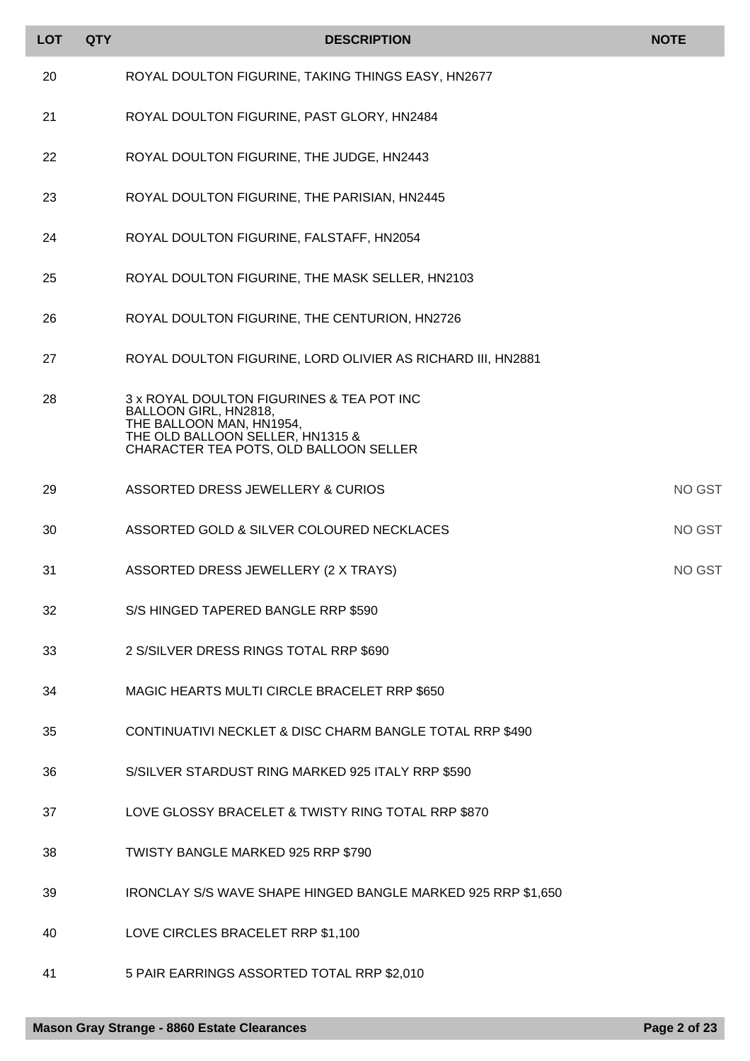| <b>LOT</b> | <b>QTY</b> | <b>DESCRIPTION</b>                                                                                     | <b>NOTE</b>   |
|------------|------------|--------------------------------------------------------------------------------------------------------|---------------|
| 20         |            | ROYAL DOULTON FIGURINE, TAKING THINGS EASY, HN2677                                                     |               |
| 21         |            | ROYAL DOULTON FIGURINE, PAST GLORY, HN2484                                                             |               |
| 22         |            | ROYAL DOULTON FIGURINE, THE JUDGE, HN2443                                                              |               |
| 23         |            | ROYAL DOULTON FIGURINE, THE PARISIAN, HN2445                                                           |               |
| 24         |            | ROYAL DOULTON FIGURINE, FALSTAFF, HN2054                                                               |               |
| 25         |            | ROYAL DOULTON FIGURINE, THE MASK SELLER, HN2103                                                        |               |
| 26         |            | ROYAL DOULTON FIGURINE, THE CENTURION, HN2726                                                          |               |
| 27         |            | ROYAL DOULTON FIGURINE, LORD OLIVIER AS RICHARD III, HN2881                                            |               |
| 28         |            | 3 x ROYAL DOULTON FIGURINES & TEA POT INC<br>BALLOON GIRL, HN2818,                                     |               |
|            |            | THE BALLOON MAN, HN1954,<br>THE OLD BALLOON SELLER, HN1315 &<br>CHARACTER TEA POTS, OLD BALLOON SELLER |               |
| 29         |            | ASSORTED DRESS JEWELLERY & CURIOS                                                                      | <b>NO GST</b> |
| 30         |            | ASSORTED GOLD & SILVER COLOURED NECKLACES                                                              | <b>NO GST</b> |
| 31         |            | ASSORTED DRESS JEWELLERY (2 X TRAYS)                                                                   | NO GST        |
| 32         |            | S/S HINGED TAPERED BANGLE RRP \$590                                                                    |               |
| 33         |            | 2 S/SILVER DRESS RINGS TOTAL RRP \$690                                                                 |               |
| 34         |            | MAGIC HEARTS MULTI CIRCLE BRACELET RRP \$650                                                           |               |
| 35         |            | CONTINUATIVI NECKLET & DISC CHARM BANGLE TOTAL RRP \$490                                               |               |
| 36         |            | S/SILVER STARDUST RING MARKED 925 ITALY RRP \$590                                                      |               |
| 37         |            | LOVE GLOSSY BRACELET & TWISTY RING TOTAL RRP \$870                                                     |               |
| 38         |            | TWISTY BANGLE MARKED 925 RRP \$790                                                                     |               |
| 39         |            | IRONCLAY S/S WAVE SHAPE HINGED BANGLE MARKED 925 RRP \$1,650                                           |               |
| 40         |            | LOVE CIRCLES BRACELET RRP \$1,100                                                                      |               |
| 41         |            | 5 PAIR EARRINGS ASSORTED TOTAL RRP \$2,010                                                             |               |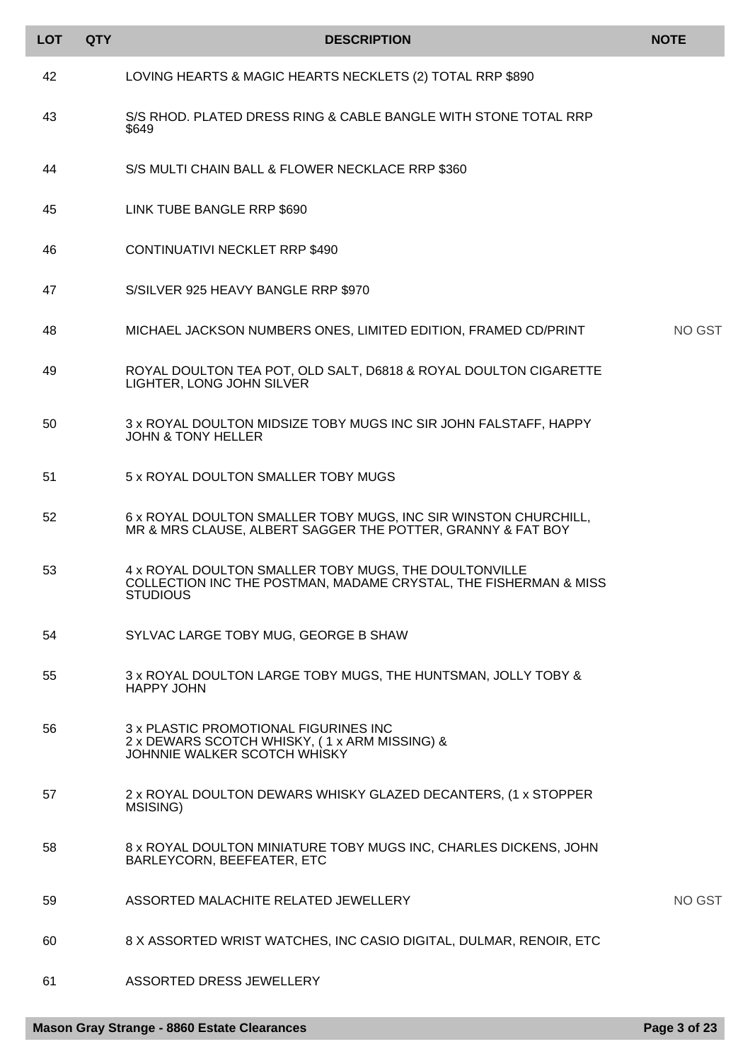| <b>LOT</b> | <b>QTY</b> | <b>DESCRIPTION</b>                                                                                                                           | <b>NOTE</b>   |
|------------|------------|----------------------------------------------------------------------------------------------------------------------------------------------|---------------|
| 42         |            | LOVING HEARTS & MAGIC HEARTS NECKLETS (2) TOTAL RRP \$890                                                                                    |               |
| 43         |            | S/S RHOD. PLATED DRESS RING & CABLE BANGLE WITH STONE TOTAL RRP<br>\$649                                                                     |               |
| 44         |            | S/S MULTI CHAIN BALL & FLOWER NECKLACE RRP \$360                                                                                             |               |
| 45         |            | LINK TUBE BANGLE RRP \$690                                                                                                                   |               |
| 46         |            | CONTINUATIVI NECKLET RRP \$490                                                                                                               |               |
| 47         |            | S/SILVER 925 HEAVY BANGLE RRP \$970                                                                                                          |               |
| 48         |            | MICHAEL JACKSON NUMBERS ONES, LIMITED EDITION, FRAMED CD/PRINT                                                                               | <b>NO GST</b> |
| 49         |            | ROYAL DOULTON TEA POT, OLD SALT, D6818 & ROYAL DOULTON CIGARETTE<br>LIGHTER, LONG JOHN SILVER                                                |               |
| 50         |            | 3 x ROYAL DOULTON MIDSIZE TOBY MUGS INC SIR JOHN FALSTAFF, HAPPY<br><b>JOHN &amp; TONY HELLER</b>                                            |               |
| 51         |            | 5 x ROYAL DOULTON SMALLER TOBY MUGS                                                                                                          |               |
| 52         |            | 6 x ROYAL DOULTON SMALLER TOBY MUGS, INC SIR WINSTON CHURCHILL,<br>MR & MRS CLAUSE, ALBERT SAGGER THE POTTER, GRANNY & FAT BOY               |               |
| 53         |            | 4 x ROYAL DOULTON SMALLER TOBY MUGS, THE DOULTONVILLE<br>COLLECTION INC THE POSTMAN, MADAME CRYSTAL, THE FISHERMAN & MISS<br><b>STUDIOUS</b> |               |
| 54         |            | SYLVAC LARGE TOBY MUG, GEORGE B SHAW                                                                                                         |               |
| 55         |            | 3 x ROYAL DOULTON LARGE TOBY MUGS, THE HUNTSMAN, JOLLY TOBY &<br><b>HAPPY JOHN</b>                                                           |               |
| 56         |            | 3 x PLASTIC PROMOTIONAL FIGURINES INC<br>2 x DEWARS SCOTCH WHISKY, (1 x ARM MISSING) &<br>JOHNNIE WALKER SCOTCH WHISKY                       |               |
| 57         |            | 2 x ROYAL DOULTON DEWARS WHISKY GLAZED DECANTERS, (1 x STOPPER<br>MSISING)                                                                   |               |
| 58         |            | 8 x ROYAL DOULTON MINIATURE TOBY MUGS INC, CHARLES DICKENS, JOHN<br>BARLEYCORN, BEEFEATER, ETC                                               |               |
| 59         |            | ASSORTED MALACHITE RELATED JEWELLERY                                                                                                         | NO GST        |
| 60         |            | 8 X ASSORTED WRIST WATCHES, INC CASIO DIGITAL, DULMAR, RENOIR, ETC                                                                           |               |
| 61         |            | ASSORTED DRESS JEWELLERY                                                                                                                     |               |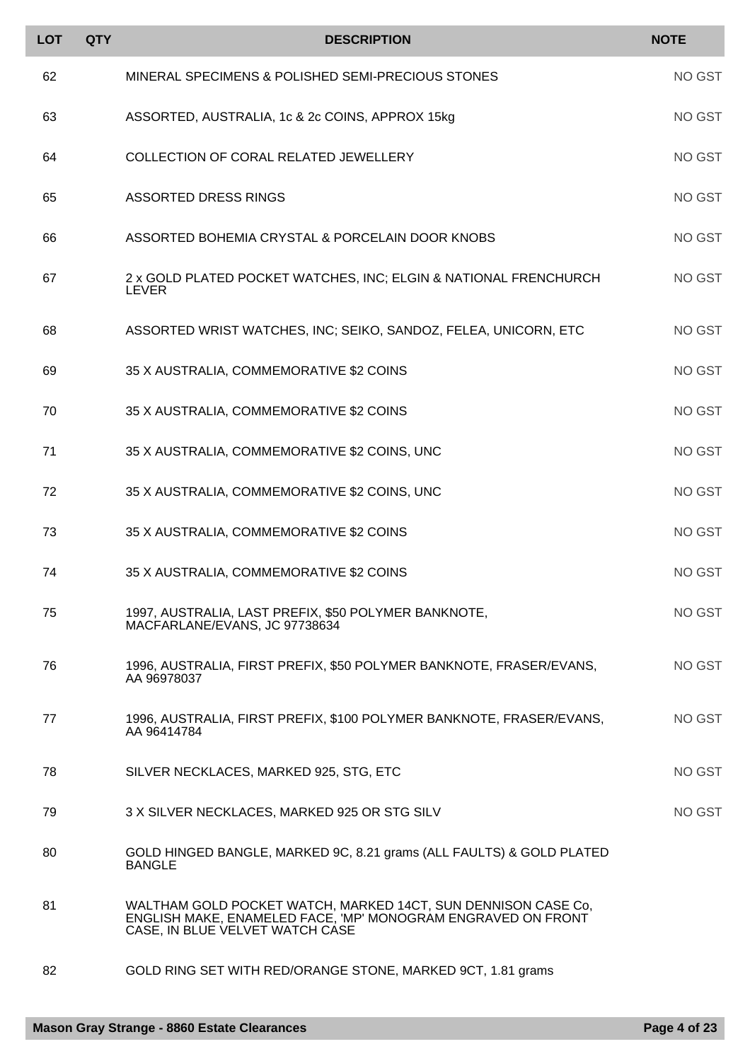| <b>LOT</b> | <b>QTY</b> | <b>DESCRIPTION</b>                                                                                                                                               | <b>NOTE</b> |
|------------|------------|------------------------------------------------------------------------------------------------------------------------------------------------------------------|-------------|
| 62         |            | MINERAL SPECIMENS & POLISHED SEMI-PRECIOUS STONES                                                                                                                | NO GST      |
| 63         |            | ASSORTED, AUSTRALIA, 1c & 2c COINS, APPROX 15kg                                                                                                                  | NO GST      |
| 64         |            | <b>COLLECTION OF CORAL RELATED JEWELLERY</b>                                                                                                                     | NO GST      |
| 65         |            | <b>ASSORTED DRESS RINGS</b>                                                                                                                                      | NO GST      |
| 66         |            | ASSORTED BOHEMIA CRYSTAL & PORCELAIN DOOR KNOBS                                                                                                                  | NO GST      |
| 67         |            | 2 x GOLD PLATED POCKET WATCHES, INC; ELGIN & NATIONAL FRENCHURCH<br><b>LEVER</b>                                                                                 | NO GST      |
| 68         |            | ASSORTED WRIST WATCHES, INC; SEIKO, SANDOZ, FELEA, UNICORN, ETC                                                                                                  | NO GST      |
| 69         |            | 35 X AUSTRALIA, COMMEMORATIVE \$2 COINS                                                                                                                          | NO GST      |
| 70         |            | 35 X AUSTRALIA, COMMEMORATIVE \$2 COINS                                                                                                                          | NO GST      |
| 71         |            | 35 X AUSTRALIA, COMMEMORATIVE \$2 COINS, UNC                                                                                                                     | NO GST      |
| 72         |            | 35 X AUSTRALIA, COMMEMORATIVE \$2 COINS, UNC                                                                                                                     | NO GST      |
| 73         |            | 35 X AUSTRALIA, COMMEMORATIVE \$2 COINS                                                                                                                          | NO GST      |
| 74         |            | 35 X AUSTRALIA, COMMEMORATIVE \$2 COINS                                                                                                                          | NO GST      |
| 75         |            | 1997, AUSTRALIA, LAST PREFIX, \$50 POLYMER BANKNOTE,<br>MACFARLANE/EVANS, JC 97738634                                                                            | NO GST      |
| 76         |            | 1996, AUSTRALIA, FIRST PREFIX, \$50 POLYMER BANKNOTE, FRASER/EVANS,<br>AA 96978037                                                                               | NO GST      |
| 77         |            | 1996, AUSTRALIA, FIRST PREFIX, \$100 POLYMER BANKNOTE, FRASER/EVANS,<br>AA 96414784                                                                              | NO GST      |
| 78         |            | SILVER NECKLACES, MARKED 925, STG, ETC                                                                                                                           | NO GST      |
| 79         |            | 3 X SILVER NECKLACES, MARKED 925 OR STG SILV                                                                                                                     | NO GST      |
| 80         |            | GOLD HINGED BANGLE, MARKED 9C, 8.21 grams (ALL FAULTS) & GOLD PLATED<br><b>BANGLE</b>                                                                            |             |
| 81         |            | WALTHAM GOLD POCKET WATCH, MARKED 14CT, SUN DENNISON CASE Co,<br>ENGLISH MAKE, ENAMELED FACE, 'MP' MONOGRAM ENGRAVED ON FRONT<br>CASE, IN BLUE VELVET WATCH CASE |             |
| 82         |            | GOLD RING SET WITH RED/ORANGE STONE, MARKED 9CT, 1.81 grams                                                                                                      |             |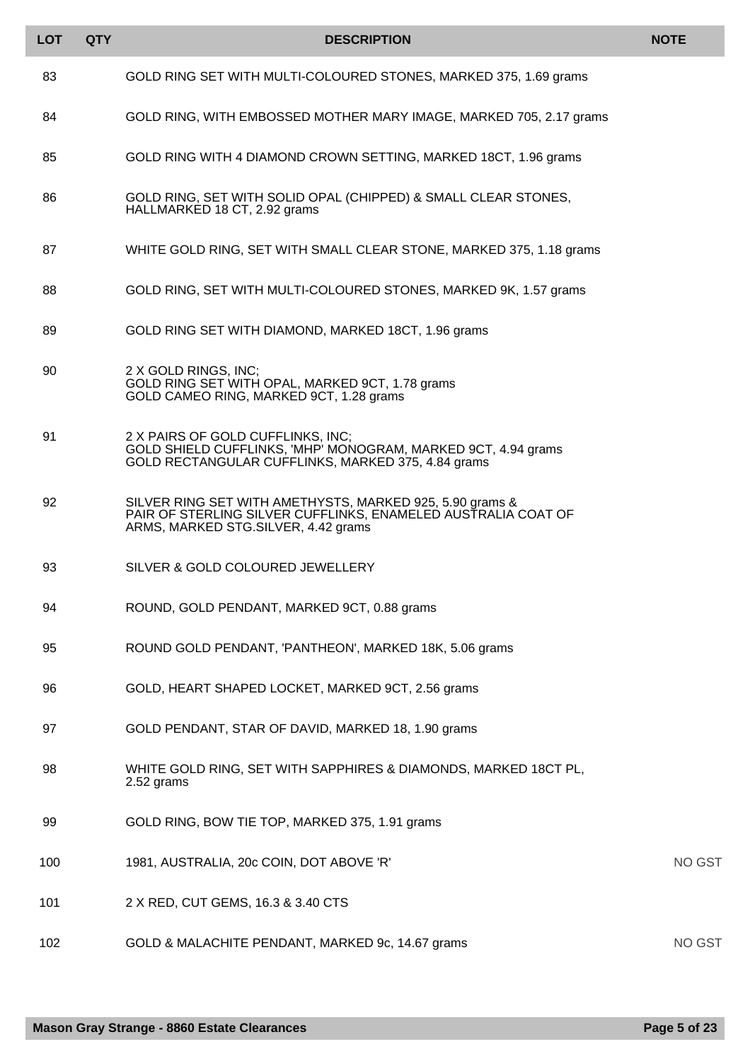| <b>LOT</b> | <b>QTY</b> | <b>DESCRIPTION</b>                                                                                                                                               | <b>NOTE</b>   |
|------------|------------|------------------------------------------------------------------------------------------------------------------------------------------------------------------|---------------|
| 83         |            | GOLD RING SET WITH MULTI-COLOURED STONES, MARKED 375, 1.69 grams                                                                                                 |               |
| 84         |            | GOLD RING, WITH EMBOSSED MOTHER MARY IMAGE, MARKED 705, 2.17 grams                                                                                               |               |
| 85         |            | GOLD RING WITH 4 DIAMOND CROWN SETTING, MARKED 18CT, 1.96 grams                                                                                                  |               |
| 86         |            | GOLD RING, SET WITH SOLID OPAL (CHIPPED) & SMALL CLEAR STONES,<br>HALLMARKED 18 CT, 2.92 grams                                                                   |               |
| 87         |            | WHITE GOLD RING, SET WITH SMALL CLEAR STONE, MARKED 375, 1.18 grams                                                                                              |               |
| 88         |            | GOLD RING, SET WITH MULTI-COLOURED STONES, MARKED 9K, 1.57 grams                                                                                                 |               |
| 89         |            | GOLD RING SET WITH DIAMOND, MARKED 18CT, 1.96 grams                                                                                                              |               |
| 90         |            | 2 X GOLD RINGS, INC;<br>GOLD RING SET WITH OPAL, MARKED 9CT, 1.78 grams<br>GOLD CAMEO RING, MARKED 9CT, 1.28 grams                                               |               |
| 91         |            | 2 X PAIRS OF GOLD CUFFLINKS, INC;<br>GOLD SHIELD CUFFLINKS, 'MHP' MONOGRAM, MARKED 9CT, 4.94 grams<br>GOLD RECTANGULAR CUFFLINKS, MARKED 375, 4.84 grams         |               |
| 92         |            | SILVER RING SET WITH AMETHYSTS, MARKED 925, 5.90 grams &<br>PAIR OF STERLING SILVER CUFFLINKS, ENAMELED AUSTRALIA COAT OF<br>ARMS, MARKED STG.SILVER, 4.42 grams |               |
| 93         |            | SILVER & GOLD COLOURED JEWELLERY                                                                                                                                 |               |
| 94         |            | ROUND, GOLD PENDANT, MARKED 9CT, 0.88 grams                                                                                                                      |               |
| 95         |            | ROUND GOLD PENDANT, 'PANTHEON', MARKED 18K, 5.06 grams                                                                                                           |               |
| 96         |            | GOLD, HEART SHAPED LOCKET, MARKED 9CT, 2.56 grams                                                                                                                |               |
| 97         |            | GOLD PENDANT, STAR OF DAVID, MARKED 18, 1.90 grams                                                                                                               |               |
| 98         |            | WHITE GOLD RING, SET WITH SAPPHIRES & DIAMONDS, MARKED 18CT PL,<br>2.52 grams                                                                                    |               |
| 99         |            | GOLD RING, BOW TIE TOP, MARKED 375, 1.91 grams                                                                                                                   |               |
| 100        |            | 1981, AUSTRALIA, 20c COIN, DOT ABOVE 'R'                                                                                                                         | <b>NO GST</b> |
| 101        |            | 2 X RED, CUT GEMS, 16.3 & 3.40 CTS                                                                                                                               |               |
| 102        |            | GOLD & MALACHITE PENDANT, MARKED 9c, 14.67 grams                                                                                                                 | <b>NO GST</b> |

Г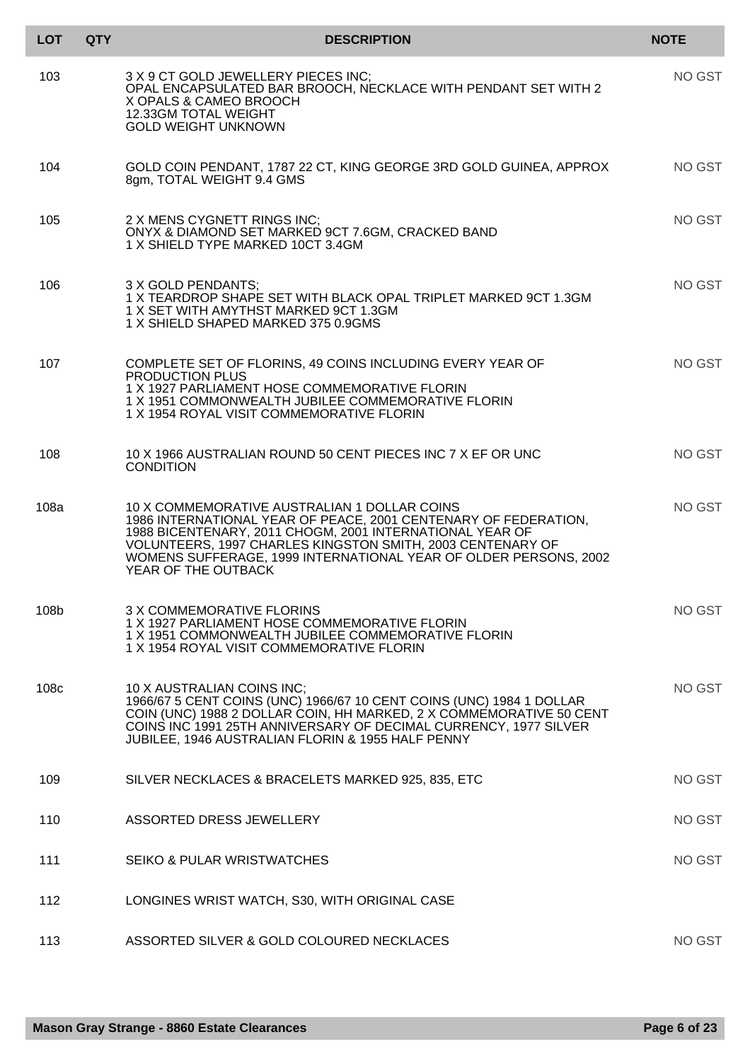| LOT              | <b>QTY</b> | <b>DESCRIPTION</b>                                                                                                                                                                                                                                                                                                                   | <b>NOTE</b> |
|------------------|------------|--------------------------------------------------------------------------------------------------------------------------------------------------------------------------------------------------------------------------------------------------------------------------------------------------------------------------------------|-------------|
| 103              |            | 3 X 9 CT GOLD JEWELLERY PIECES INC;<br>OPAL ENCAPSULATED BAR BROOCH, NECKLACE WITH PENDANT SET WITH 2<br>X OPALS & CAMEO BROOCH<br>12.33GM TOTAL WEIGHT<br><b>GOLD WEIGHT UNKNOWN</b>                                                                                                                                                | NO GST      |
| 104              |            | GOLD COIN PENDANT, 1787 22 CT, KING GEORGE 3RD GOLD GUINEA, APPROX<br>8gm, TOTAL WEIGHT 9.4 GMS                                                                                                                                                                                                                                      | NO GST      |
| 105              |            | 2 X MENS CYGNETT RINGS INC;<br>ONYX & DIAMOND SET MARKED 9CT 7.6GM, CRACKED BAND<br>1 X SHIELD TYPE MARKED 10CT 3.4GM                                                                                                                                                                                                                | NO GST      |
| 106              |            | 3 X GOLD PENDANTS:<br>1 X TEARDROP SHAPE SET WITH BLACK OPAL TRIPLET MARKED 9CT 1.3GM<br>1 X SET WITH AMYTHST MARKED 9CT 1.3GM<br>1 X SHIELD SHAPED MARKED 375 0.9GMS                                                                                                                                                                | NO GST      |
| 107              |            | COMPLETE SET OF FLORINS, 49 COINS INCLUDING EVERY YEAR OF<br>PRODUCTION PLUS<br>1 X 1927 PARLIAMENT HOSE COMMEMORATIVE FLORIN<br>1 X 1951 COMMONWEALTH JUBILEE COMMEMORATIVE FLORIN<br>1 X 1954 ROYAL VISIT COMMEMORATIVE FLORIN                                                                                                     | NO GST      |
| 108              |            | 10 X 1966 AUSTRALIAN ROUND 50 CENT PIECES INC 7 X EF OR UNC<br><b>CONDITION</b>                                                                                                                                                                                                                                                      | NO GST      |
| 108a             |            | 10 X COMMEMORATIVE AUSTRALIAN 1 DOLLAR COINS<br>1986 INTERNATIONAL YEAR OF PEACE, 2001 CENTENARY OF FEDERATION,<br>1988 BICENTENARY, 2011 CHOGM, 2001 INTERNATIONAL YEAR OF<br>VOLUNTEERS, 1997 CHARLES KINGSTON SMITH, 2003 CENTENARY OF<br>WOMENS SUFFERAGE, 1999 INTERNATIONAL YEAR OF OLDER PERSONS, 2002<br>YEAR OF THE OUTBACK | NO GST      |
| 108b             |            | 3 X COMMEMORATIVE FLORINS<br>1 X 1927 PARLIAMENT HOSE COMMEMORATIVE FLORIN<br>1 X 1951 COMMONWEALTH JUBILEE COMMEMORATIVE FLORIN<br>1 X 1954 ROYAL VISIT COMMEMORATIVE FLORIN                                                                                                                                                        | NO GST      |
| 108 <sub>c</sub> |            | 10 X AUSTRALIAN COINS INC;<br>1966/67 5 CENT COINS (UNC) 1966/67 10 CENT COINS (UNC) 1984 1 DOLLAR<br>COIN (UNC) 1988 2 DOLLAR COIN, HH MARKED, 2 X COMMEMORATIVE 50 CENT<br>COINS INC 1991 25TH ANNIVERSARY OF DECIMAL CURRENCY, 1977 SILVER<br>JUBILEE, 1946 AUSTRALIAN FLORIN & 1955 HALF PENNY                                   | NO GST      |
| 109              |            | SILVER NECKLACES & BRACELETS MARKED 925, 835, ETC                                                                                                                                                                                                                                                                                    | NO GST      |
| 110              |            | ASSORTED DRESS JEWELLERY                                                                                                                                                                                                                                                                                                             | NO GST      |
| 111              |            | SEIKO & PULAR WRISTWATCHES                                                                                                                                                                                                                                                                                                           | NO GST      |
| 112              |            | LONGINES WRIST WATCH, S30, WITH ORIGINAL CASE                                                                                                                                                                                                                                                                                        |             |
| 113              |            | ASSORTED SILVER & GOLD COLOURED NECKLACES                                                                                                                                                                                                                                                                                            | NO GST      |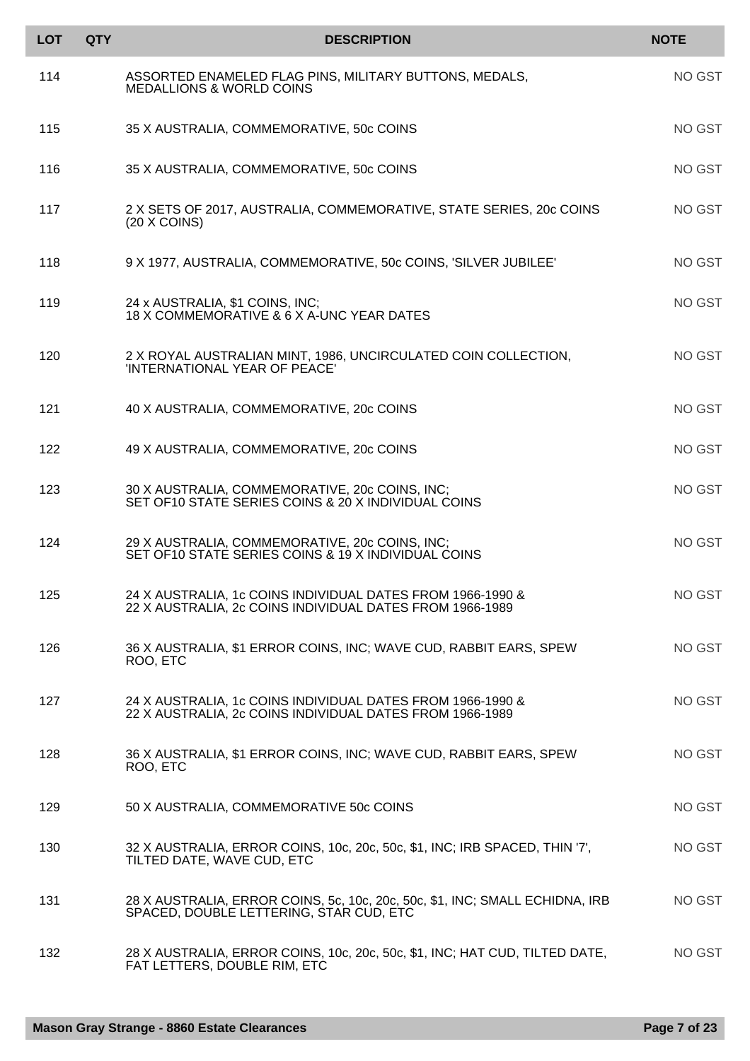| <b>LOT</b> | <b>QTY</b> | <b>DESCRIPTION</b>                                                                                                      | <b>NOTE</b> |
|------------|------------|-------------------------------------------------------------------------------------------------------------------------|-------------|
| 114        |            | ASSORTED ENAMELED FLAG PINS, MILITARY BUTTONS, MEDALS,<br><b>MEDALLIONS &amp; WORLD COINS</b>                           | NO GST      |
| 115        |            | 35 X AUSTRALIA, COMMEMORATIVE, 50c COINS                                                                                | NO GST      |
| 116        |            | 35 X AUSTRALIA, COMMEMORATIVE, 50c COINS                                                                                | NO GST      |
| 117        |            | 2 X SETS OF 2017, AUSTRALIA, COMMEMORATIVE, STATE SERIES, 20c COINS<br>(20 X COINS)                                     | NO GST      |
| 118        |            | 9 X 1977, AUSTRALIA, COMMEMORATIVE, 50c COINS, 'SILVER JUBILEE'                                                         | NO GST      |
| 119        |            | 24 x AUSTRALIA, \$1 COINS, INC;<br>18 X COMMEMORATIVE & 6 X A-UNC YEAR DATES                                            | NO GST      |
| 120        |            | 2 X ROYAL AUSTRALIAN MINT, 1986, UNCIRCULATED COIN COLLECTION,<br>'INTERNATIONAL YEAR OF PEACE'                         | NO GST      |
| 121        |            | 40 X AUSTRALIA, COMMEMORATIVE, 20c COINS                                                                                | NO GST      |
| 122        |            | 49 X AUSTRALIA, COMMEMORATIVE, 20c COINS                                                                                | NO GST      |
| 123        |            | 30 X AUSTRALIA, COMMEMORATIVE, 20c COINS, INC;<br>SET OF10 STATE SERIES COINS & 20 X INDIVIDUAL COINS                   | NO GST      |
| 124        |            | 29 X AUSTRALIA, COMMEMORATIVE, 20c COINS, INC;<br>SET OF10 STATE SERIES COINS & 19 X INDIVIDUAL COINS                   | NO GST      |
| 125        |            | 24 X AUSTRALIA, 1c COINS INDIVIDUAL DATES FROM 1966-1990 &<br>22 X AUSTRALIA, 2c COINS INDIVIDUAL DATES FROM 1966-1989  | NO GST      |
| 126        |            | 36 X AUSTRALIA, \$1 ERROR COINS, INC; WAVE CUD, RABBIT EARS, SPEW<br>ROO, ETC                                           | NO GST      |
| 127        |            | 24 X AUSTRALIA, 1c COINS INDIVIDUAL DATES FROM 1966-1990 &<br>22 X AUSTRALIA, 2c COINS INDIVIDUAL DATES FROM 1966-1989  | NO GST      |
| 128        |            | 36 X AUSTRALIA, \$1 ERROR COINS, INC; WAVE CUD, RABBIT EARS, SPEW<br>ROO, ETC                                           | NO GST      |
| 129        |            | 50 X AUSTRALIA, COMMEMORATIVE 50c COINS                                                                                 | NO GST      |
| 130        |            | 32 X AUSTRALIA, ERROR COINS, 10c, 20c, 50c, \$1, INC; IRB SPACED, THIN '7',<br>TILTED DATE, WAVE CUD, ETC               | NO GST      |
| 131        |            | 28 X AUSTRALIA, ERROR COINS, 5c, 10c, 20c, 50c, \$1, INC; SMALL ECHIDNA, IRB<br>SPACED, DOUBLE LETTERING, STAR CUD, ETC | NO GST      |
| 132        |            | 28 X AUSTRALIA, ERROR COINS, 10c, 20c, 50c, \$1, INC; HAT CUD, TILTED DATE,<br>FAT LETTERS, DOUBLE RIM, ETC             | NO GST      |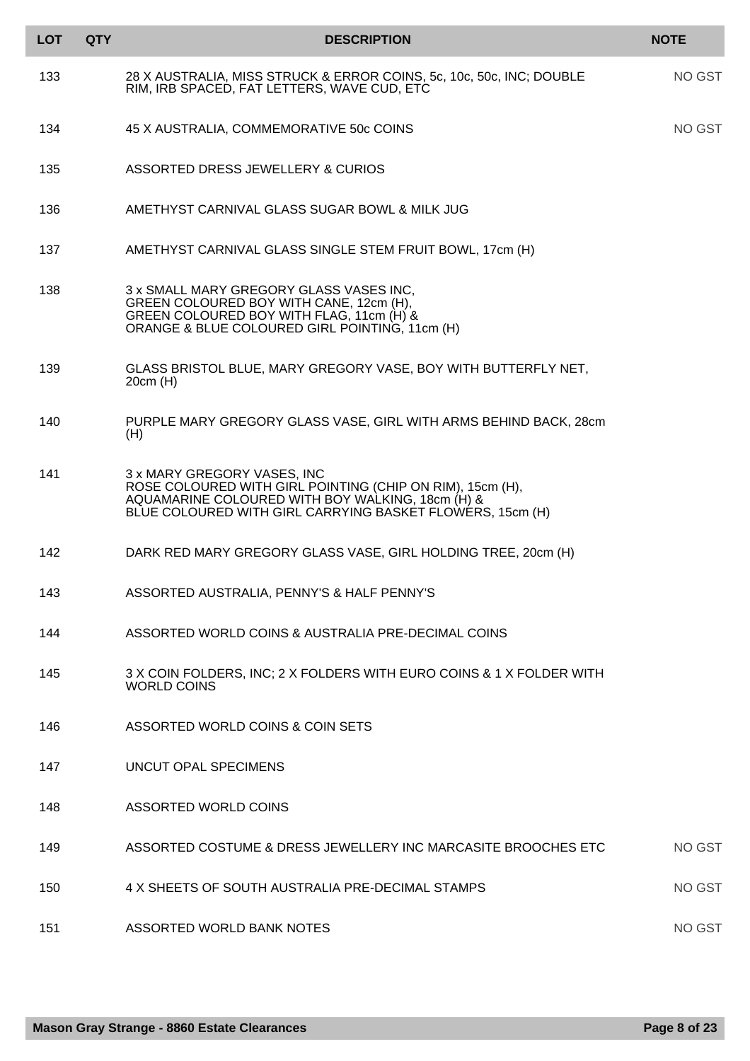| <b>LOT</b> | <b>QTY</b> | <b>DESCRIPTION</b>                                                                                                                                                                                        | <b>NOTE</b> |
|------------|------------|-----------------------------------------------------------------------------------------------------------------------------------------------------------------------------------------------------------|-------------|
| 133        |            | 28 X AUSTRALIA, MISS STRUCK & ERROR COINS, 5c, 10c, 50c, INC; DOUBLE<br>RIM, IRB SPACED, FAT LETTERS, WAVE CUD, ETC                                                                                       | NO GST      |
| 134        |            | 45 X AUSTRALIA, COMMEMORATIVE 50c COINS                                                                                                                                                                   | NO GST      |
| 135        |            | ASSORTED DRESS JEWELLERY & CURIOS                                                                                                                                                                         |             |
| 136        |            | AMETHYST CARNIVAL GLASS SUGAR BOWL & MILK JUG                                                                                                                                                             |             |
| 137        |            | AMETHYST CARNIVAL GLASS SINGLE STEM FRUIT BOWL, 17cm (H)                                                                                                                                                  |             |
| 138        |            | 3 x SMALL MARY GREGORY GLASS VASES INC.<br>GREEN COLOURED BOY WITH CANE, 12cm (H),<br>GREEN COLOURED BOY WITH FLAG, 11cm (H) &<br>ORANGE & BLUE COLOURED GIRL POINTING, 11cm (H)                          |             |
| 139        |            | GLASS BRISTOL BLUE, MARY GREGORY VASE, BOY WITH BUTTERFLY NET,<br>20cm (H)                                                                                                                                |             |
| 140        |            | PURPLE MARY GREGORY GLASS VASE, GIRL WITH ARMS BEHIND BACK, 28cm<br>(H)                                                                                                                                   |             |
| 141        |            | 3 x MARY GREGORY VASES, INC<br>ROSE COLOURED WITH GIRL POINTING (CHIP ON RIM), 15cm (H),<br>AQUAMARINE COLOURED WITH BOY WALKING, 18cm (H) &<br>BLUE COLOURED WITH GIRL CARRYING BASKET FLOWERS, 15cm (H) |             |
| 142        |            | DARK RED MARY GREGORY GLASS VASE, GIRL HOLDING TREE, 20cm (H)                                                                                                                                             |             |
| 143        |            | ASSORTED AUSTRALIA, PENNY'S & HALF PENNY'S                                                                                                                                                                |             |
| 144        |            | ASSORTED WORLD COINS & AUSTRALIA PRE-DECIMAL COINS                                                                                                                                                        |             |
| 145        |            | 3 X COIN FOLDERS, INC; 2 X FOLDERS WITH EURO COINS & 1 X FOLDER WITH<br><b>WORLD COINS</b>                                                                                                                |             |
| 146        |            | ASSORTED WORLD COINS & COIN SETS                                                                                                                                                                          |             |
| 147        |            | UNCUT OPAL SPECIMENS                                                                                                                                                                                      |             |
| 148        |            | ASSORTED WORLD COINS                                                                                                                                                                                      |             |
| 149        |            | ASSORTED COSTUME & DRESS JEWELLERY INC MARCASITE BROOCHES ETC                                                                                                                                             | NO GST      |
| 150        |            | 4 X SHEETS OF SOUTH AUSTRALIA PRE-DECIMAL STAMPS                                                                                                                                                          | NO GST      |
| 151        |            | ASSORTED WORLD BANK NOTES                                                                                                                                                                                 | NO GST      |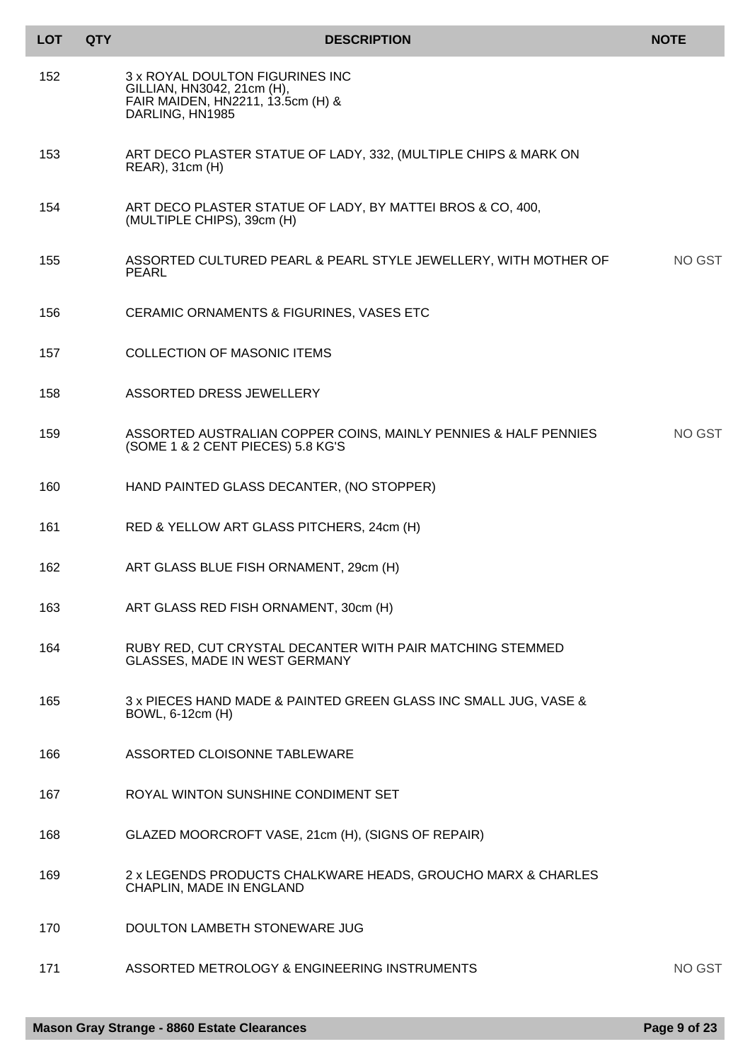| <b>LOT</b> | <b>QTY</b> | <b>DESCRIPTION</b>                                                                                                    | <b>NOTE</b> |
|------------|------------|-----------------------------------------------------------------------------------------------------------------------|-------------|
| 152        |            | 3 x ROYAL DOULTON FIGURINES INC<br>GILLIAN, HN3042, 21cm (H),<br>FAIR MAIDEN, HN2211, 13.5cm (H) &<br>DARLING, HN1985 |             |
| 153        |            | ART DECO PLASTER STATUE OF LADY, 332, (MULTIPLE CHIPS & MARK ON<br>REAR), 31cm (H)                                    |             |
| 154        |            | ART DECO PLASTER STATUE OF LADY, BY MATTEI BROS & CO, 400,<br>(MULTIPLE CHIPS), 39cm (H)                              |             |
| 155        |            | ASSORTED CULTURED PEARL & PEARL STYLE JEWELLERY, WITH MOTHER OF<br><b>PEARL</b>                                       | NO GST      |
| 156        |            | CERAMIC ORNAMENTS & FIGURINES, VASES ETC                                                                              |             |
| 157        |            | <b>COLLECTION OF MASONIC ITEMS</b>                                                                                    |             |
| 158        |            | ASSORTED DRESS JEWELLERY                                                                                              |             |
| 159        |            | ASSORTED AUSTRALIAN COPPER COINS, MAINLY PENNIES & HALF PENNIES<br>(SOME 1 & 2 CENT PIECES) 5.8 KG'S                  | NO GST      |
| 160        |            | HAND PAINTED GLASS DECANTER, (NO STOPPER)                                                                             |             |
| 161        |            | RED & YELLOW ART GLASS PITCHERS, 24cm (H)                                                                             |             |
| 162        |            | ART GLASS BLUE FISH ORNAMENT, 29cm (H)                                                                                |             |
| 163        |            | ART GLASS RED FISH ORNAMENT, 30cm (H)                                                                                 |             |
| 164        |            | RUBY RED, CUT CRYSTAL DECANTER WITH PAIR MATCHING STEMMED<br><b>GLASSES, MADE IN WEST GERMANY</b>                     |             |
| 165        |            | 3 x PIECES HAND MADE & PAINTED GREEN GLASS INC SMALL JUG, VASE &<br>BOWL, 6-12cm (H)                                  |             |
| 166        |            | ASSORTED CLOISONNE TABLEWARE                                                                                          |             |
| 167        |            | ROYAL WINTON SUNSHINE CONDIMENT SET                                                                                   |             |
| 168        |            | GLAZED MOORCROFT VASE, 21cm (H), (SIGNS OF REPAIR)                                                                    |             |
| 169        |            | 2 x LEGENDS PRODUCTS CHALKWARE HEADS, GROUCHO MARX & CHARLES<br>CHAPLIN, MADE IN ENGLAND                              |             |
| 170        |            | DOULTON LAMBETH STONEWARE JUG                                                                                         |             |
| 171        |            | ASSORTED METROLOGY & ENGINEERING INSTRUMENTS                                                                          | NO GST      |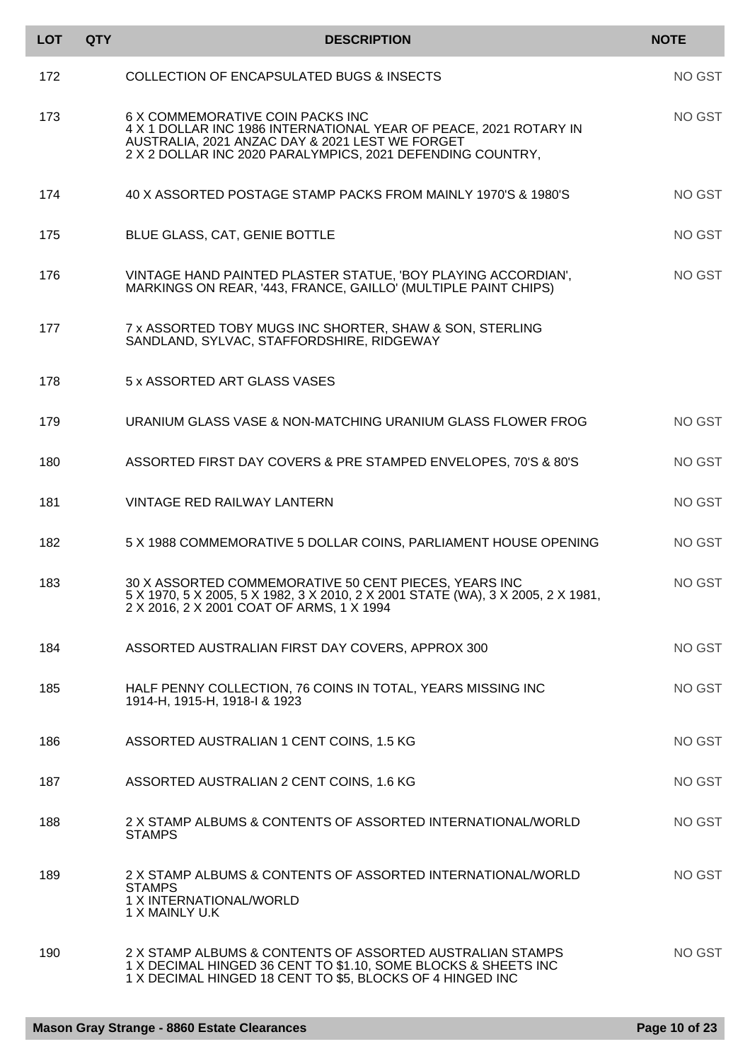| <b>LOT</b> | <b>QTY</b> | <b>DESCRIPTION</b>                                                                                                                                                                                                     | <b>NOTE</b> |
|------------|------------|------------------------------------------------------------------------------------------------------------------------------------------------------------------------------------------------------------------------|-------------|
| 172        |            | <b>COLLECTION OF ENCAPSULATED BUGS &amp; INSECTS</b>                                                                                                                                                                   | NO GST      |
| 173        |            | 6 X COMMEMORATIVE COIN PACKS INC<br>4 X 1 DOLLAR INC 1986 INTERNATIONAL YEAR OF PEACE, 2021 ROTARY IN<br>AUSTRALIA, 2021 ANZAC DAY & 2021 LEST WE FORGET<br>2 X 2 DOLLAR INC 2020 PARALYMPICS, 2021 DEFENDING COUNTRY, | NO GST      |
| 174        |            | 40 X ASSORTED POSTAGE STAMP PACKS FROM MAINLY 1970'S & 1980'S                                                                                                                                                          | NO GST      |
| 175        |            | BLUE GLASS, CAT, GENIE BOTTLE                                                                                                                                                                                          | NO GST      |
| 176        |            | VINTAGE HAND PAINTED PLASTER STATUE, 'BOY PLAYING ACCORDIAN',<br>MARKINGS ON REAR, '443, FRANCE, GAILLO' (MULTIPLE PAINT CHIPS)                                                                                        | NO GST      |
| 177        |            | 7 x ASSORTED TOBY MUGS INC SHORTER, SHAW & SON, STERLING<br>SANDLAND, SYLVAC, STAFFORDSHIRE, RIDGEWAY                                                                                                                  |             |
| 178        |            | 5 x ASSORTED ART GLASS VASES                                                                                                                                                                                           |             |
| 179        |            | URANIUM GLASS VASE & NON-MATCHING URANIUM GLASS FLOWER FROG                                                                                                                                                            | NO GST      |
| 180        |            | ASSORTED FIRST DAY COVERS & PRE STAMPED ENVELOPES, 70'S & 80'S                                                                                                                                                         | NO GST      |
| 181        |            | VINTAGE RED RAILWAY LANTERN                                                                                                                                                                                            | NO GST      |
| 182        |            | 5 X 1988 COMMEMORATIVE 5 DOLLAR COINS, PARLIAMENT HOUSE OPENING                                                                                                                                                        | NO GST      |
| 183        |            | 30 X ASSORTED COMMEMORATIVE 50 CENT PIECES, YEARS INC<br>5 X 1970, 5 X 2005, 5 X 1982, 3 X 2010, 2 X 2001 STATE (WA), 3 X 2005, 2 X 1981,<br>2 X 2016, 2 X 2001 COAT OF ARMS, 1 X 1994                                 | NO GST      |
| 184        |            | ASSORTED AUSTRALIAN FIRST DAY COVERS, APPROX 300                                                                                                                                                                       | NO GST      |
| 185        |            | HALF PENNY COLLECTION, 76 COINS IN TOTAL, YEARS MISSING INC<br>1914-H, 1915-H, 1918-I & 1923                                                                                                                           | NO GST      |
| 186        |            | ASSORTED AUSTRALIAN 1 CENT COINS, 1.5 KG                                                                                                                                                                               | NO GST      |
| 187        |            | ASSORTED AUSTRALIAN 2 CENT COINS, 1.6 KG                                                                                                                                                                               | NO GST      |
| 188        |            | 2 X STAMP ALBUMS & CONTENTS OF ASSORTED INTERNATIONAL/WORLD<br><b>STAMPS</b>                                                                                                                                           | NO GST      |
| 189        |            | 2 X STAMP ALBUMS & CONTENTS OF ASSORTED INTERNATIONAL/WORLD<br><b>STAMPS</b><br>1 X INTERNATIONAL/WORLD<br>1 X MAINLY U.K                                                                                              | NO GST      |
| 190        |            | 2 X STAMP ALBUMS & CONTENTS OF ASSORTED AUSTRALIAN STAMPS<br>1 X DECIMAL HINGED 36 CENT TO \$1.10, SOME BLOCKS & SHEETS INC<br>1 X DECIMAL HINGED 18 CENT TO \$5, BLOCKS OF 4 HINGED INC                               | NO GST      |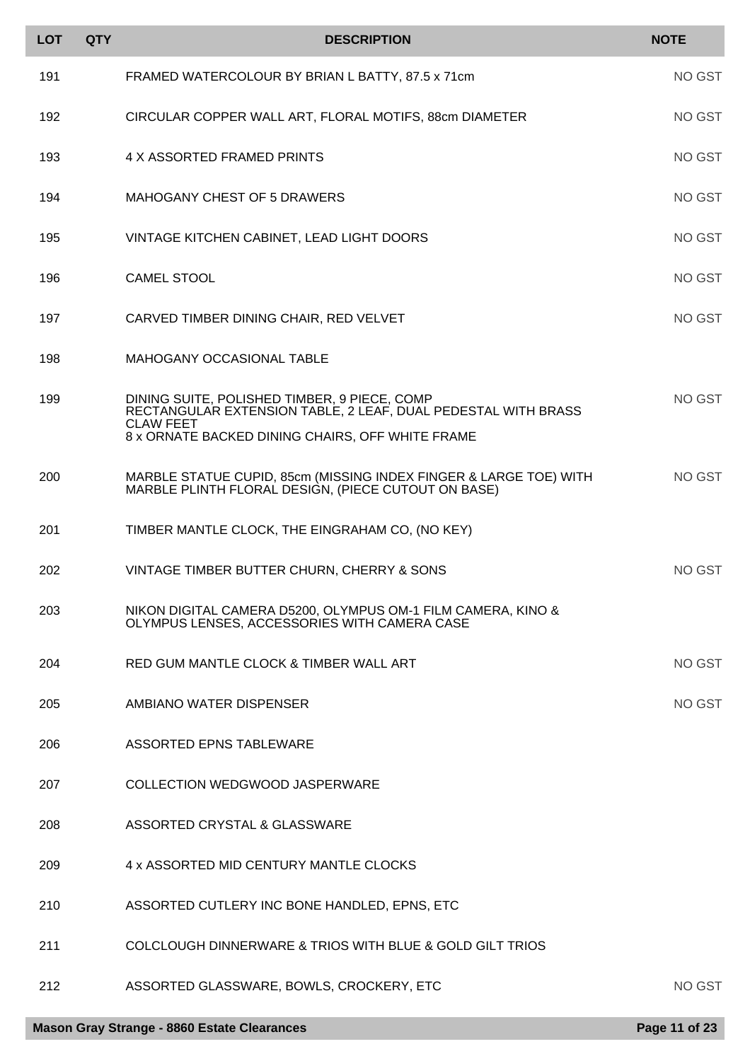| <b>LOT</b> | <b>QTY</b> | <b>DESCRIPTION</b>                                                                                                       | <b>NOTE</b>   |
|------------|------------|--------------------------------------------------------------------------------------------------------------------------|---------------|
| 191        |            | FRAMED WATERCOLOUR BY BRIAN L BATTY, 87.5 x 71cm                                                                         | NO GST        |
| 192        |            | CIRCULAR COPPER WALL ART, FLORAL MOTIFS, 88cm DIAMETER                                                                   | NO GST        |
| 193        |            | 4 X ASSORTED FRAMED PRINTS                                                                                               | NO GST        |
| 194        |            | <b>MAHOGANY CHEST OF 5 DRAWERS</b>                                                                                       | <b>NO GST</b> |
| 195        |            | VINTAGE KITCHEN CABINET, LEAD LIGHT DOORS                                                                                | NO GST        |
| 196        |            | <b>CAMEL STOOL</b>                                                                                                       | NO GST        |
| 197        |            | CARVED TIMBER DINING CHAIR, RED VELVET                                                                                   | <b>NO GST</b> |
| 198        |            | <b>MAHOGANY OCCASIONAL TABLE</b>                                                                                         |               |
| 199        |            | DINING SUITE, POLISHED TIMBER, 9 PIECE, COMP<br>RECTANGULAR EXTENSION TABLE, 2 LEAF, DUAL PEDESTAL WITH BRASS            | NO GST        |
|            |            | <b>CLAW FEET</b><br>8 x ORNATE BACKED DINING CHAIRS, OFF WHITE FRAME                                                     |               |
| 200        |            | MARBLE STATUE CUPID, 85cm (MISSING INDEX FINGER & LARGE TOE) WITH<br>MARBLE PLINTH FLORAL DESIGN, (PIECE CUTOUT ON BASE) | <b>NO GST</b> |
| 201        |            | TIMBER MANTLE CLOCK, THE EINGRAHAM CO, (NO KEY)                                                                          |               |
| 202        |            | VINTAGE TIMBER BUTTER CHURN, CHERRY & SONS                                                                               | NO GST        |
| 203        |            | NIKON DIGITAL CAMERA D5200, OLYMPUS OM-1 FILM CAMERA, KINO &<br>OLYMPUS LENSES, ACCESSORIES WITH CAMERA CASE             |               |
| 204        |            | RED GUM MANTLE CLOCK & TIMBER WALL ART                                                                                   | NO GST        |
| 205        |            | AMBIANO WATER DISPENSER                                                                                                  | NO GST        |
| 206        |            | <b>ASSORTED EPNS TABLEWARE</b>                                                                                           |               |
| 207        |            | <b>COLLECTION WEDGWOOD JASPERWARE</b>                                                                                    |               |
| 208        |            | ASSORTED CRYSTAL & GLASSWARE                                                                                             |               |
| 209        |            | 4 x ASSORTED MID CENTURY MANTLE CLOCKS                                                                                   |               |
| 210        |            | ASSORTED CUTLERY INC BONE HANDLED, EPNS, ETC                                                                             |               |
| 211        |            | COLCLOUGH DINNERWARE & TRIOS WITH BLUE & GOLD GILT TRIOS                                                                 |               |
| 212        |            | ASSORTED GLASSWARE, BOWLS, CROCKERY, ETC                                                                                 | NO GST        |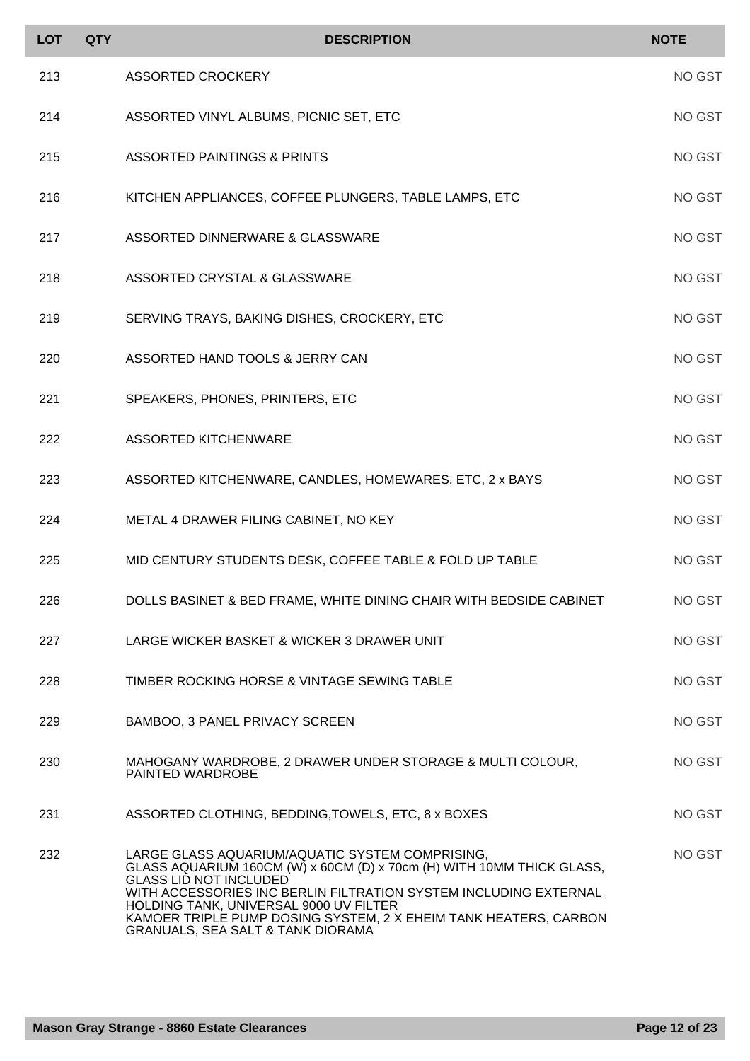| <b>LOT</b> | <b>QTY</b> | <b>DESCRIPTION</b>                                                                                                                                                                                                                                                                                                                                                                          | <b>NOTE</b> |
|------------|------------|---------------------------------------------------------------------------------------------------------------------------------------------------------------------------------------------------------------------------------------------------------------------------------------------------------------------------------------------------------------------------------------------|-------------|
| 213        |            | <b>ASSORTED CROCKERY</b>                                                                                                                                                                                                                                                                                                                                                                    | NO GST      |
| 214        |            | ASSORTED VINYL ALBUMS, PICNIC SET, ETC                                                                                                                                                                                                                                                                                                                                                      | NO GST      |
| 215        |            | <b>ASSORTED PAINTINGS &amp; PRINTS</b>                                                                                                                                                                                                                                                                                                                                                      | NO GST      |
| 216        |            | KITCHEN APPLIANCES, COFFEE PLUNGERS, TABLE LAMPS, ETC                                                                                                                                                                                                                                                                                                                                       | NO GST      |
| 217        |            | ASSORTED DINNERWARE & GLASSWARE                                                                                                                                                                                                                                                                                                                                                             | NO GST      |
| 218        |            | ASSORTED CRYSTAL & GLASSWARE                                                                                                                                                                                                                                                                                                                                                                | NO GST      |
| 219        |            | SERVING TRAYS, BAKING DISHES, CROCKERY, ETC                                                                                                                                                                                                                                                                                                                                                 | NO GST      |
| 220        |            | ASSORTED HAND TOOLS & JERRY CAN                                                                                                                                                                                                                                                                                                                                                             | NO GST      |
| 221        |            | SPEAKERS, PHONES, PRINTERS, ETC                                                                                                                                                                                                                                                                                                                                                             | NO GST      |
| 222        |            | <b>ASSORTED KITCHENWARE</b>                                                                                                                                                                                                                                                                                                                                                                 | NO GST      |
| 223        |            | ASSORTED KITCHENWARE, CANDLES, HOMEWARES, ETC, 2 x BAYS                                                                                                                                                                                                                                                                                                                                     | NO GST      |
| 224        |            | METAL 4 DRAWER FILING CABINET, NO KEY                                                                                                                                                                                                                                                                                                                                                       | NO GST      |
| 225        |            | MID CENTURY STUDENTS DESK, COFFEE TABLE & FOLD UP TABLE                                                                                                                                                                                                                                                                                                                                     | NO GST      |
| 226        |            | DOLLS BASINET & BED FRAME, WHITE DINING CHAIR WITH BEDSIDE CABINET                                                                                                                                                                                                                                                                                                                          | NO GST      |
| 227        |            | LARGE WICKER BASKET & WICKER 3 DRAWER UNIT                                                                                                                                                                                                                                                                                                                                                  | NO GST      |
| 228        |            | TIMBER ROCKING HORSE & VINTAGE SEWING TABLE                                                                                                                                                                                                                                                                                                                                                 | NO GST      |
| 229        |            | BAMBOO, 3 PANEL PRIVACY SCREEN                                                                                                                                                                                                                                                                                                                                                              | NO GST      |
| 230        |            | MAHOGANY WARDROBE, 2 DRAWER UNDER STORAGE & MULTI COLOUR,<br>PAINTED WARDROBE                                                                                                                                                                                                                                                                                                               | NO GST      |
| 231        |            | ASSORTED CLOTHING, BEDDING, TOWELS, ETC, 8 x BOXES                                                                                                                                                                                                                                                                                                                                          | NO GST      |
| 232        |            | LARGE GLASS AQUARIUM/AQUATIC SYSTEM COMPRISING,<br>GLASS AQUARIUM 160CM (W) x 60CM (D) x 70cm (H) WITH 10MM THICK GLASS,<br><b>GLASS LID NOT INCLUDED</b><br>WITH ACCESSORIES INC BERLIN FILTRATION SYSTEM INCLUDING EXTERNAL<br>HOLDING TANK, UNIVERSAL 9000 UV FILTER<br>KAMOER TRIPLE PUMP DOSING SYSTEM, 2 X EHEIM TANK HEATERS, CARBON<br><b>GRANUALS, SEA SALT &amp; TANK DIORAMA</b> | NO GST      |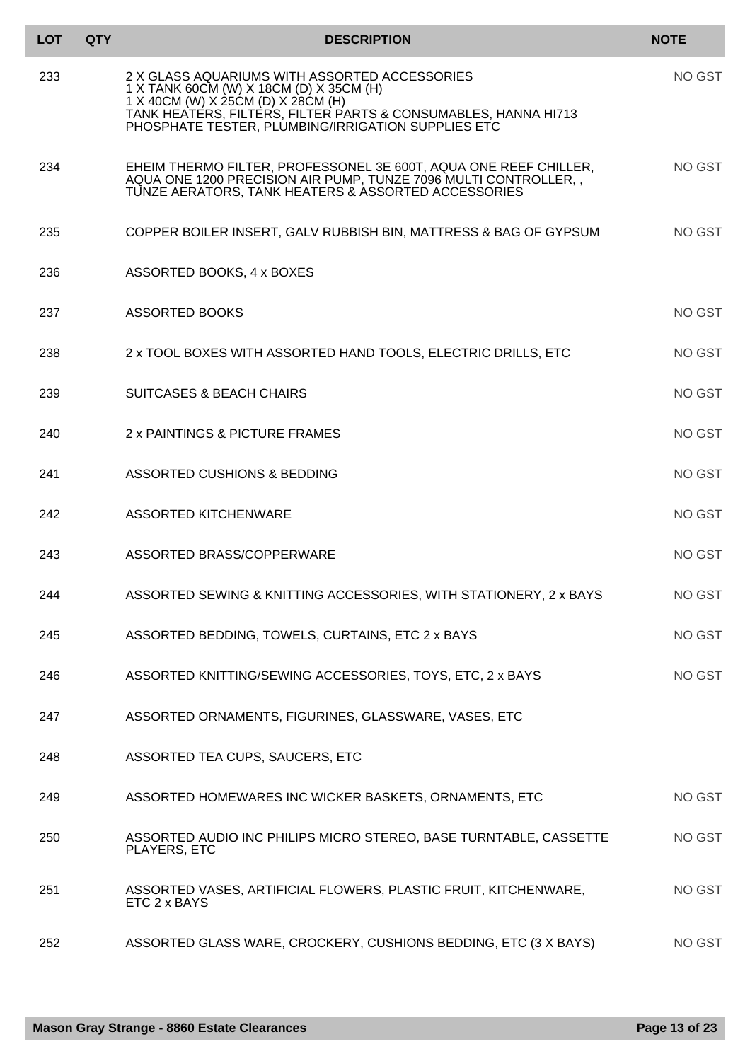| <b>LOT</b> | <b>QTY</b> | <b>DESCRIPTION</b>                                                                                                                                                                                                                                       | <b>NOTE</b>   |
|------------|------------|----------------------------------------------------------------------------------------------------------------------------------------------------------------------------------------------------------------------------------------------------------|---------------|
| 233        |            | 2 X GLASS AQUARIUMS WITH ASSORTED ACCESSORIES<br>1 X TANK 60CM (W) X 18CM (D) X 35CM (H)<br>$1$ X 40CM (W) X 25CM (D) X 28CM (H)<br>TANK HEATÉRS, FILTERS, FILTER PARTS & CONSUMABLES, HANNA HI713<br>PHOSPHATE TESTER, PLUMBING/IRRIGATION SUPPLIES ETC | NO GST        |
| 234        |            | EHEIM THERMO FILTER, PROFESSONEL 3E 600T, AQUA ONE REEF CHILLER,<br>AQUA ONE 1200 PRECISION AIR PUMP, TUNZE 7096 MULTI CONTROLLER,<br>TUNZE AERATORS, TANK HEATERS & ASSORTED ACCESSORIES                                                                | NO GST        |
| 235        |            | COPPER BOILER INSERT, GALV RUBBISH BIN, MATTRESS & BAG OF GYPSUM                                                                                                                                                                                         | NO GST        |
| 236        |            | ASSORTED BOOKS, 4 x BOXES                                                                                                                                                                                                                                |               |
| 237        |            | <b>ASSORTED BOOKS</b>                                                                                                                                                                                                                                    | NO GST        |
| 238        |            | 2 x TOOL BOXES WITH ASSORTED HAND TOOLS, ELECTRIC DRILLS, ETC                                                                                                                                                                                            | NO GST        |
| 239        |            | <b>SUITCASES &amp; BEACH CHAIRS</b>                                                                                                                                                                                                                      | <b>NO GST</b> |
| 240        |            | 2 x PAINTINGS & PICTURE FRAMES                                                                                                                                                                                                                           | NO GST        |
| 241        |            | ASSORTED CUSHIONS & BEDDING                                                                                                                                                                                                                              | NO GST        |
| 242        |            | <b>ASSORTED KITCHENWARE</b>                                                                                                                                                                                                                              | <b>NO GST</b> |
| 243        |            | ASSORTED BRASS/COPPERWARE                                                                                                                                                                                                                                | NO GST        |
| 244        |            | ASSORTED SEWING & KNITTING ACCESSORIES, WITH STATIONERY, 2 x BAYS                                                                                                                                                                                        | NO GST        |
| 245        |            | ASSORTED BEDDING, TOWELS, CURTAINS, ETC 2 x BAYS                                                                                                                                                                                                         | NO GST        |
| 246        |            | ASSORTED KNITTING/SEWING ACCESSORIES, TOYS, ETC, 2 x BAYS                                                                                                                                                                                                | NO GST        |
| 247        |            | ASSORTED ORNAMENTS, FIGURINES, GLASSWARE, VASES, ETC                                                                                                                                                                                                     |               |
| 248        |            | ASSORTED TEA CUPS, SAUCERS, ETC                                                                                                                                                                                                                          |               |
| 249        |            | ASSORTED HOMEWARES INC WICKER BASKETS, ORNAMENTS, ETC                                                                                                                                                                                                    | NO GST        |
| 250        |            | ASSORTED AUDIO INC PHILIPS MICRO STEREO, BASE TURNTABLE, CASSETTE<br>PLAYERS, ETC                                                                                                                                                                        | NO GST        |
| 251        |            | ASSORTED VASES, ARTIFICIAL FLOWERS, PLASTIC FRUIT, KITCHENWARE,<br>ETC 2 x BAYS                                                                                                                                                                          | NO GST        |
| 252        |            | ASSORTED GLASS WARE, CROCKERY, CUSHIONS BEDDING, ETC (3 X BAYS)                                                                                                                                                                                          | NO GST        |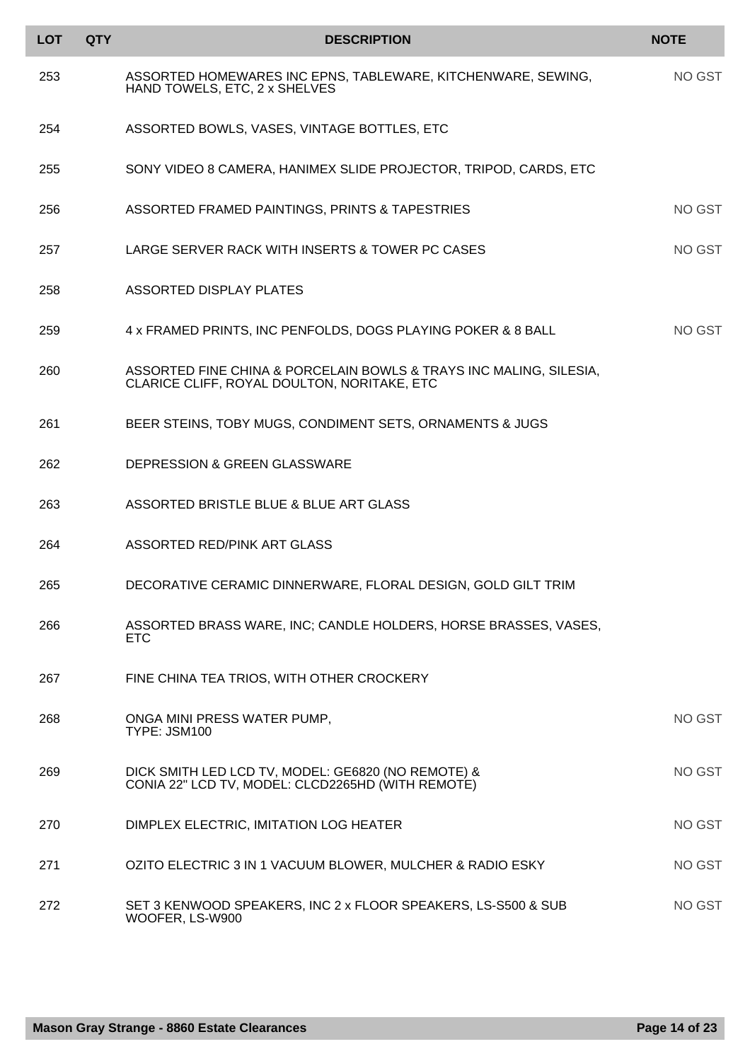| <b>LOT</b> | <b>QTY</b> | <b>DESCRIPTION</b>                                                                                                | <b>NOTE</b> |
|------------|------------|-------------------------------------------------------------------------------------------------------------------|-------------|
| 253        |            | ASSORTED HOMEWARES INC EPNS, TABLEWARE, KITCHENWARE, SEWING,<br>HAND TOWELS, ETC, 2 x SHELVES                     | NO GST      |
| 254        |            | ASSORTED BOWLS, VASES, VINTAGE BOTTLES, ETC                                                                       |             |
| 255        |            | SONY VIDEO 8 CAMERA, HANIMEX SLIDE PROJECTOR, TRIPOD, CARDS, ETC                                                  |             |
| 256        |            | ASSORTED FRAMED PAINTINGS, PRINTS & TAPESTRIES                                                                    | NO GST      |
| 257        |            | LARGE SERVER RACK WITH INSERTS & TOWER PC CASES                                                                   | NO GST      |
| 258        |            | ASSORTED DISPLAY PLATES                                                                                           |             |
| 259        |            | 4 x FRAMED PRINTS, INC PENFOLDS, DOGS PLAYING POKER & 8 BALL                                                      | NO GST      |
| 260        |            | ASSORTED FINE CHINA & PORCELAIN BOWLS & TRAYS INC MALING, SILESIA,<br>CLARICE CLIFF, ROYAL DOULTON, NORITAKE, ETC |             |
| 261        |            | BEER STEINS, TOBY MUGS, CONDIMENT SETS, ORNAMENTS & JUGS                                                          |             |
| 262        |            | <b>DEPRESSION &amp; GREEN GLASSWARE</b>                                                                           |             |
| 263        |            | ASSORTED BRISTLE BLUE & BLUE ART GLASS                                                                            |             |
| 264        |            | ASSORTED RED/PINK ART GLASS                                                                                       |             |
| 265        |            | DECORATIVE CERAMIC DINNERWARE, FLORAL DESIGN, GOLD GILT TRIM                                                      |             |
| 266        |            | ASSORTED BRASS WARE, INC; CANDLE HOLDERS, HORSE BRASSES, VASES,<br><b>ETC</b>                                     |             |
| 267        |            | FINE CHINA TEA TRIOS, WITH OTHER CROCKERY                                                                         |             |
| 268        |            | ONGA MINI PRESS WATER PUMP,<br>TYPE: JSM100                                                                       | NO GST      |
| 269        |            | DICK SMITH LED LCD TV, MODEL: GE6820 (NO REMOTE) &<br>CONIA 22" LCD TV, MODEL: CLCD2265HD (WITH REMOTE)           | NO GST      |
| 270        |            | DIMPLEX ELECTRIC, IMITATION LOG HEATER                                                                            | NO GST      |
| 271        |            | OZITO ELECTRIC 3 IN 1 VACUUM BLOWER, MULCHER & RADIO ESKY                                                         | NO GST      |
| 272        |            | SET 3 KENWOOD SPEAKERS, INC 2 x FLOOR SPEAKERS, LS-S500 & SUB<br>WOOFER, LS-W900                                  | NO GST      |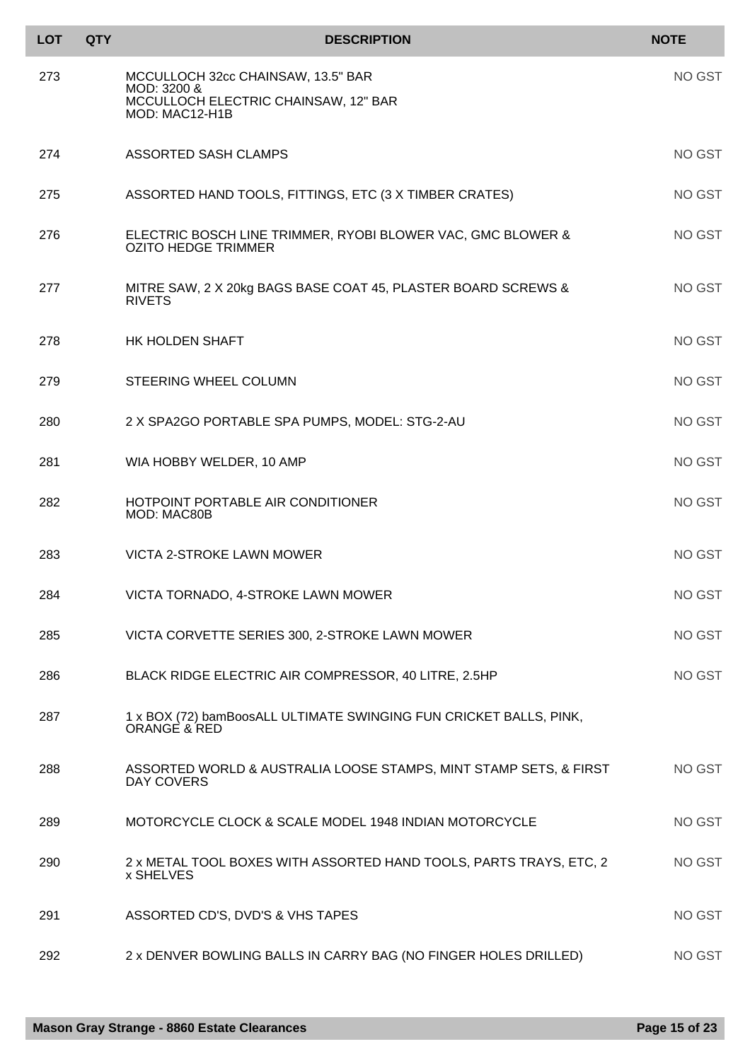| <b>LOT</b> | <b>QTY</b> | <b>DESCRIPTION</b>                                                                                          | <b>NOTE</b> |
|------------|------------|-------------------------------------------------------------------------------------------------------------|-------------|
| 273        |            | MCCULLOCH 32cc CHAINSAW, 13.5" BAR<br>MOD: 3200 &<br>MCCULLOCH ELECTRIC CHAINSAW, 12" BAR<br>MOD: MAC12-H1B | NO GST      |
| 274        |            | ASSORTED SASH CLAMPS                                                                                        | NO GST      |
| 275        |            | ASSORTED HAND TOOLS, FITTINGS, ETC (3 X TIMBER CRATES)                                                      | NO GST      |
| 276        |            | ELECTRIC BOSCH LINE TRIMMER, RYOBI BLOWER VAC, GMC BLOWER &<br><b>OZITO HEDGE TRIMMER</b>                   | NO GST      |
| 277        |            | MITRE SAW, 2 X 20kg BAGS BASE COAT 45, PLASTER BOARD SCREWS &<br><b>RIVETS</b>                              | NO GST      |
| 278        |            | <b>HK HOLDEN SHAFT</b>                                                                                      | NO GST      |
| 279        |            | STEERING WHEEL COLUMN                                                                                       | NO GST      |
| 280        |            | 2 X SPA2GO PORTABLE SPA PUMPS, MODEL: STG-2-AU                                                              | NO GST      |
| 281        |            | WIA HOBBY WELDER, 10 AMP                                                                                    | NO GST      |
| 282        |            | HOTPOINT PORTABLE AIR CONDITIONER<br>MOD: MAC80B                                                            | NO GST      |
| 283        |            | VICTA 2-STROKE LAWN MOWER                                                                                   | NO GST      |
| 284        |            | VICTA TORNADO, 4-STROKE LAWN MOWER                                                                          | NO GST      |
| 285        |            | VICTA CORVETTE SERIES 300, 2-STROKE LAWN MOWER                                                              | NO GST      |
| 286        |            | BLACK RIDGE ELECTRIC AIR COMPRESSOR, 40 LITRE, 2.5HP                                                        | NO GST      |
| 287        |            | 1 x BOX (72) bamBoosALL ULTIMATE SWINGING FUN CRICKET BALLS, PINK,<br>ORANGE & RED                          |             |
| 288        |            | ASSORTED WORLD & AUSTRALIA LOOSE STAMPS, MINT STAMP SETS, & FIRST<br>DAY COVERS                             | NO GST      |
| 289        |            | MOTORCYCLE CLOCK & SCALE MODEL 1948 INDIAN MOTORCYCLE                                                       | NO GST      |
| 290        |            | 2 x METAL TOOL BOXES WITH ASSORTED HAND TOOLS, PARTS TRAYS, ETC, 2<br>x SHELVES                             | NO GST      |
| 291        |            | ASSORTED CD'S, DVD'S & VHS TAPES                                                                            | NO GST      |
| 292        |            | 2 x DENVER BOWLING BALLS IN CARRY BAG (NO FINGER HOLES DRILLED)                                             | NO GST      |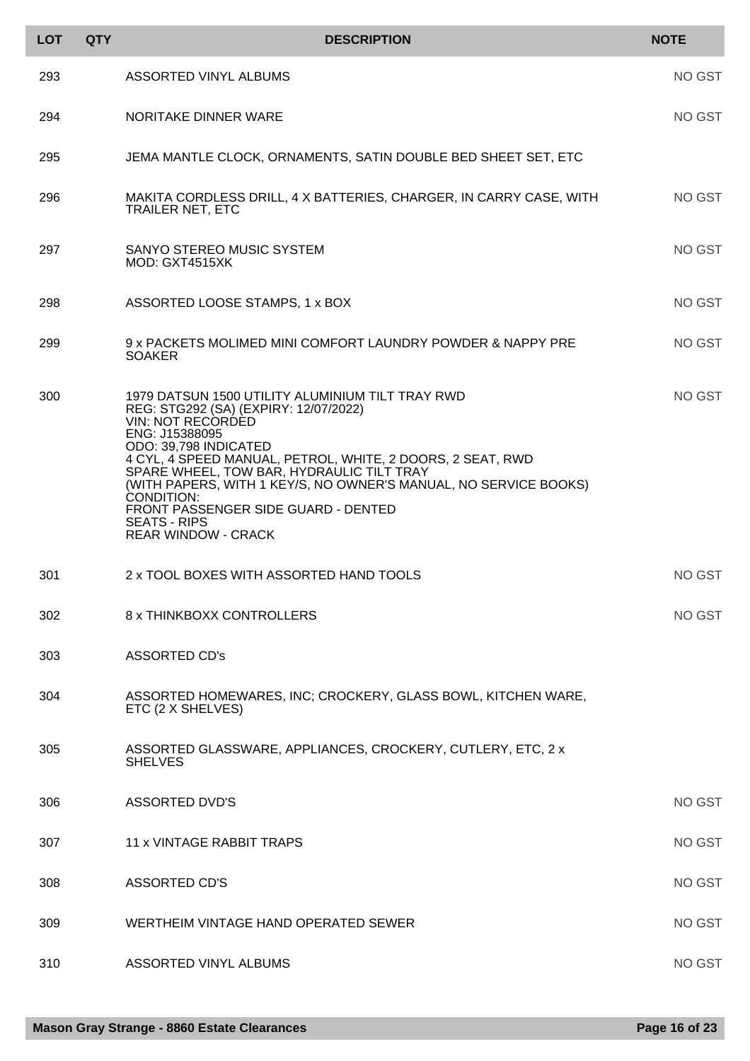| <b>LOT</b> | <b>QTY</b> | <b>DESCRIPTION</b>                                                                                                                                                                                                                                                                                                                                                                                                                                 | <b>NOTE</b> |
|------------|------------|----------------------------------------------------------------------------------------------------------------------------------------------------------------------------------------------------------------------------------------------------------------------------------------------------------------------------------------------------------------------------------------------------------------------------------------------------|-------------|
| 293        |            | ASSORTED VINYL ALBUMS                                                                                                                                                                                                                                                                                                                                                                                                                              | NO GST      |
| 294        |            | NORITAKE DINNER WARE                                                                                                                                                                                                                                                                                                                                                                                                                               | NO GST      |
| 295        |            | JEMA MANTLE CLOCK, ORNAMENTS, SATIN DOUBLE BED SHEET SET, ETC                                                                                                                                                                                                                                                                                                                                                                                      |             |
| 296        |            | MAKITA CORDLESS DRILL, 4 X BATTERIES, CHARGER, IN CARRY CASE, WITH<br><b>TRAILER NET, ETC</b>                                                                                                                                                                                                                                                                                                                                                      | NO GST      |
| 297        |            | SANYO STEREO MUSIC SYSTEM<br>MOD: GXT4515XK                                                                                                                                                                                                                                                                                                                                                                                                        | NO GST      |
| 298        |            | ASSORTED LOOSE STAMPS, 1 x BOX                                                                                                                                                                                                                                                                                                                                                                                                                     | NO GST      |
| 299        |            | 9 x PACKETS MOLIMED MINI COMFORT LAUNDRY POWDER & NAPPY PRE<br><b>SOAKER</b>                                                                                                                                                                                                                                                                                                                                                                       | NO GST      |
| 300        |            | 1979 DATSUN 1500 UTILITY ALUMINIUM TILT TRAY RWD<br>REG: STG292 (SA) (EXPIRY: 12/07/2022)<br>VIN: NOT RECORDED<br>ENG: J15388095<br>ODO: 39,798 INDICATED<br>4 CYL, 4 SPEED MANUAL, PETROL, WHITE, 2 DOORS, 2 SEAT, RWD<br>SPARE WHEEL, TOW BAR, HYDRAULIC TILT TRAY<br>(WITH PAPERS, WITH 1 KEY/S, NO OWNER'S MANUAL, NO SERVICE BOOKS)<br>CONDITION:<br>FRONT PASSENGER SIDE GUARD - DENTED<br><b>SEATS - RIPS</b><br><b>REAR WINDOW - CRACK</b> | NO GST      |
| 301        |            | 2 x TOOL BOXES WITH ASSORTED HAND TOOLS                                                                                                                                                                                                                                                                                                                                                                                                            | NO GST      |
| 302        |            | 8 x THINKBOXX CONTROLLERS                                                                                                                                                                                                                                                                                                                                                                                                                          | NO GST      |
| 303        |            | <b>ASSORTED CD's</b>                                                                                                                                                                                                                                                                                                                                                                                                                               |             |
| 304        |            | ASSORTED HOMEWARES, INC; CROCKERY, GLASS BOWL, KITCHEN WARE,<br>ETC (2 X SHELVES)                                                                                                                                                                                                                                                                                                                                                                  |             |
| 305        |            | ASSORTED GLASSWARE, APPLIANCES, CROCKERY, CUTLERY, ETC, 2 x<br><b>SHELVES</b>                                                                                                                                                                                                                                                                                                                                                                      |             |
| 306        |            | <b>ASSORTED DVD'S</b>                                                                                                                                                                                                                                                                                                                                                                                                                              | NO GST      |
| 307        |            | <b>11 x VINTAGE RABBIT TRAPS</b>                                                                                                                                                                                                                                                                                                                                                                                                                   | NO GST      |
| 308        |            | <b>ASSORTED CD'S</b>                                                                                                                                                                                                                                                                                                                                                                                                                               | NO GST      |
| 309        |            | WERTHEIM VINTAGE HAND OPERATED SEWER                                                                                                                                                                                                                                                                                                                                                                                                               | NO GST      |
| 310        |            | <b>ASSORTED VINYL ALBUMS</b>                                                                                                                                                                                                                                                                                                                                                                                                                       | NO GST      |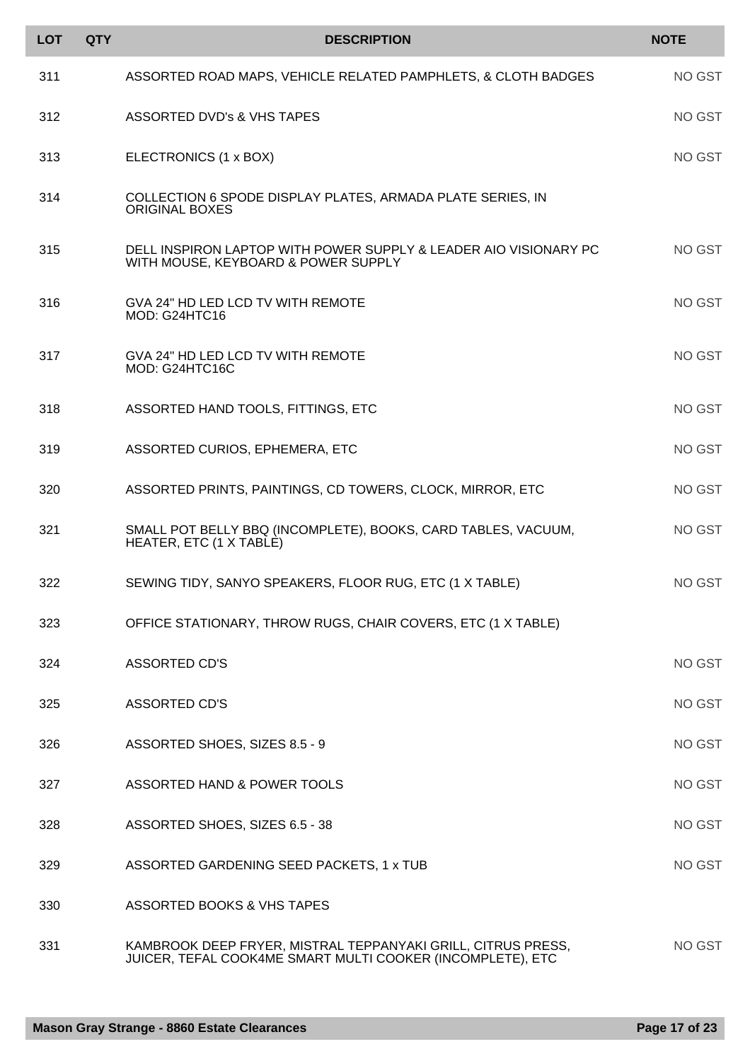| <b>LOT</b> | <b>QTY</b> | <b>DESCRIPTION</b>                                                                                                         | <b>NOTE</b> |
|------------|------------|----------------------------------------------------------------------------------------------------------------------------|-------------|
| 311        |            | ASSORTED ROAD MAPS, VEHICLE RELATED PAMPHLETS, & CLOTH BADGES                                                              | NO GST      |
| 312        |            | <b>ASSORTED DVD's &amp; VHS TAPES</b>                                                                                      | NO GST      |
| 313        |            | ELECTRONICS (1 x BOX)                                                                                                      | NO GST      |
| 314        |            | COLLECTION 6 SPODE DISPLAY PLATES, ARMADA PLATE SERIES, IN<br><b>ORIGINAL BOXES</b>                                        |             |
| 315        |            | DELL INSPIRON LAPTOP WITH POWER SUPPLY & LEADER AIO VISIONARY PC<br>WITH MOUSE, KEYBOARD & POWER SUPPLY                    | NO GST      |
| 316        |            | GVA 24" HD LED LCD TV WITH REMOTE<br>MOD: G24HTC16                                                                         | NO GST      |
| 317        |            | GVA 24" HD LED LCD TV WITH REMOTE<br>MOD: G24HTC16C                                                                        | NO GST      |
| 318        |            | ASSORTED HAND TOOLS, FITTINGS, ETC                                                                                         | NO GST      |
| 319        |            | ASSORTED CURIOS, EPHEMERA, ETC                                                                                             | NO GST      |
| 320        |            | ASSORTED PRINTS, PAINTINGS, CD TOWERS, CLOCK, MIRROR, ETC                                                                  | NO GST      |
| 321        |            | SMALL POT BELLY BBQ (INCOMPLETE), BOOKS, CARD TABLES, VACUUM,<br>HEATER, ETC (1 X TABLE)                                   | NO GST      |
| 322        |            | SEWING TIDY, SANYO SPEAKERS, FLOOR RUG, ETC (1 X TABLE)                                                                    | NO GST      |
| 323        |            | OFFICE STATIONARY, THROW RUGS, CHAIR COVERS, ETC (1 X TABLE)                                                               |             |
| 324        |            | <b>ASSORTED CD'S</b>                                                                                                       | NO GST      |
| 325        |            | <b>ASSORTED CD'S</b>                                                                                                       | NO GST      |
| 326        |            | ASSORTED SHOES, SIZES 8.5 - 9                                                                                              | NO GST      |
| 327        |            | ASSORTED HAND & POWER TOOLS                                                                                                | NO GST      |
| 328        |            | ASSORTED SHOES, SIZES 6.5 - 38                                                                                             | NO GST      |
| 329        |            | ASSORTED GARDENING SEED PACKETS, 1 x TUB                                                                                   | NO GST      |
| 330        |            | ASSORTED BOOKS & VHS TAPES                                                                                                 |             |
| 331        |            | KAMBROOK DEEP FRYER, MISTRAL TEPPANYAKI GRILL, CITRUS PRESS,<br>JUICER, TEFAL COOK4ME SMART MULTI COOKER (INCOMPLETE), ETC | NO GST      |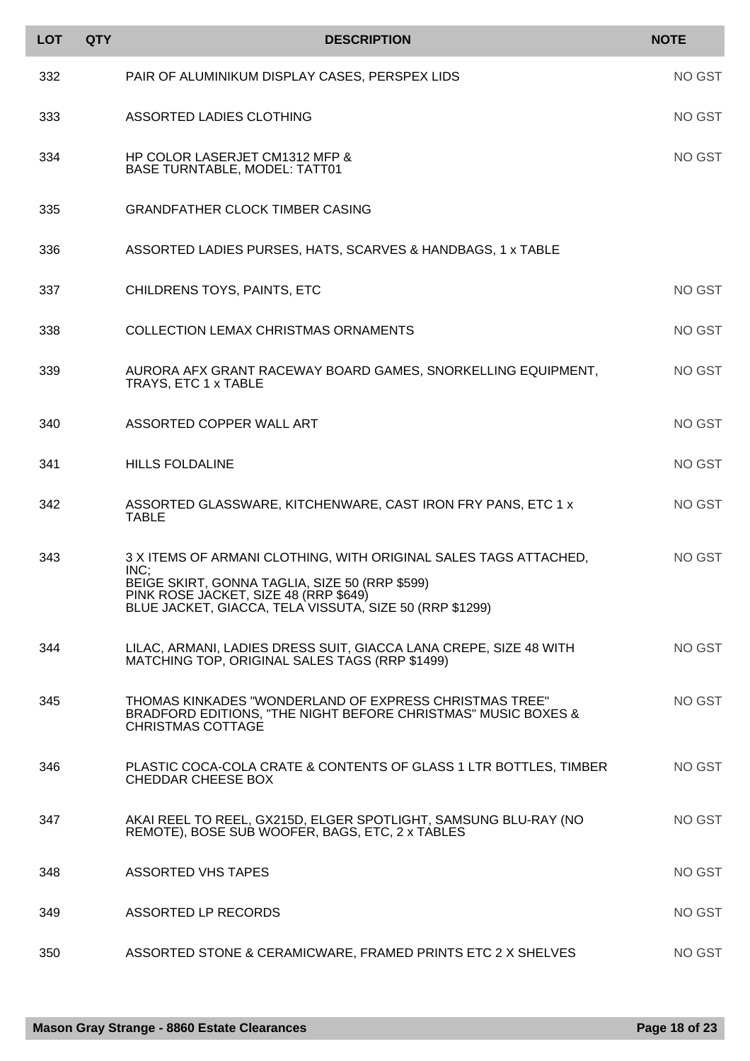| <b>LOT</b> | <b>QTY</b> | <b>DESCRIPTION</b>                                                                                                                                                                                                             | <b>NOTE</b> |
|------------|------------|--------------------------------------------------------------------------------------------------------------------------------------------------------------------------------------------------------------------------------|-------------|
| 332        |            | PAIR OF ALUMINIKUM DISPLAY CASES, PERSPEX LIDS                                                                                                                                                                                 | NO GST      |
| 333        |            | ASSORTED LADIES CLOTHING                                                                                                                                                                                                       | NO GST      |
| 334        |            | HP COLOR LASERJET CM1312 MFP &<br><b>BASE TURNTABLE, MODEL: TATT01</b>                                                                                                                                                         | NO GST      |
| 335        |            | <b>GRANDFATHER CLOCK TIMBER CASING</b>                                                                                                                                                                                         |             |
| 336        |            | ASSORTED LADIES PURSES, HATS, SCARVES & HANDBAGS, 1 x TABLE                                                                                                                                                                    |             |
| 337        |            | CHILDRENS TOYS, PAINTS, ETC                                                                                                                                                                                                    | NO GST      |
| 338        |            | <b>COLLECTION LEMAX CHRISTMAS ORNAMENTS</b>                                                                                                                                                                                    | NO GST      |
| 339        |            | AURORA AFX GRANT RACEWAY BOARD GAMES, SNORKELLING EQUIPMENT,<br>TRAYS, ETC 1 x TABLE                                                                                                                                           | NO GST      |
| 340        |            | ASSORTED COPPER WALL ART                                                                                                                                                                                                       | NO GST      |
| 341        |            | <b>HILLS FOLDALINE</b>                                                                                                                                                                                                         | NO GST      |
| 342        |            | ASSORTED GLASSWARE, KITCHENWARE, CAST IRON FRY PANS, ETC 1 x<br><b>TABLE</b>                                                                                                                                                   | NO GST      |
| 343        |            | 3 X ITEMS OF ARMANI CLOTHING, WITH ORIGINAL SALES TAGS ATTACHED,<br>INC;<br>BEIGE SKIRT, GONNA TAGLIA, SIZE 50 (RRP \$599)<br>PINK ROSE JACKET, SIZE 48 (RRP \$649)<br>BLUE JACKET, GIACCA, TELA VISSUTA, SIZE 50 (RRP \$1299) | NO GST      |
| 344        |            | LILAC, ARMANI, LADIES DRESS SUIT, GIACCA LANA CREPE, SIZE 48 WITH<br>MATCHING TOP, ORIGINAL SALES TAGS (RRP \$1499)                                                                                                            | NO GST      |
| 345        |            | THOMAS KINKADES "WONDERLAND OF EXPRESS CHRISTMAS TREE"<br>BRADFORD EDITIONS, "THE NIGHT BEFORE CHRISTMAS" MUSIC BOXES &<br><b>CHRISTMAS COTTAGE</b>                                                                            | NO GST      |
| 346        |            | PLASTIC COCA-COLA CRATE & CONTENTS OF GLASS 1 LTR BOTTLES, TIMBER<br>CHEDDAR CHEESE BOX                                                                                                                                        | NO GST      |
| 347        |            | AKAI REEL TO REEL, GX215D, ELGER SPOTLIGHT, SAMSUNG BLU-RAY (NO<br>REMOTE), BOSE SUB WOOFER, BAGS, ETC, 2 x TABLES                                                                                                             | NO GST      |
| 348        |            | <b>ASSORTED VHS TAPES</b>                                                                                                                                                                                                      | NO GST      |
| 349        |            | ASSORTED LP RECORDS                                                                                                                                                                                                            | NO GST      |
| 350        |            | ASSORTED STONE & CERAMICWARE, FRAMED PRINTS ETC 2 X SHELVES                                                                                                                                                                    | NO GST      |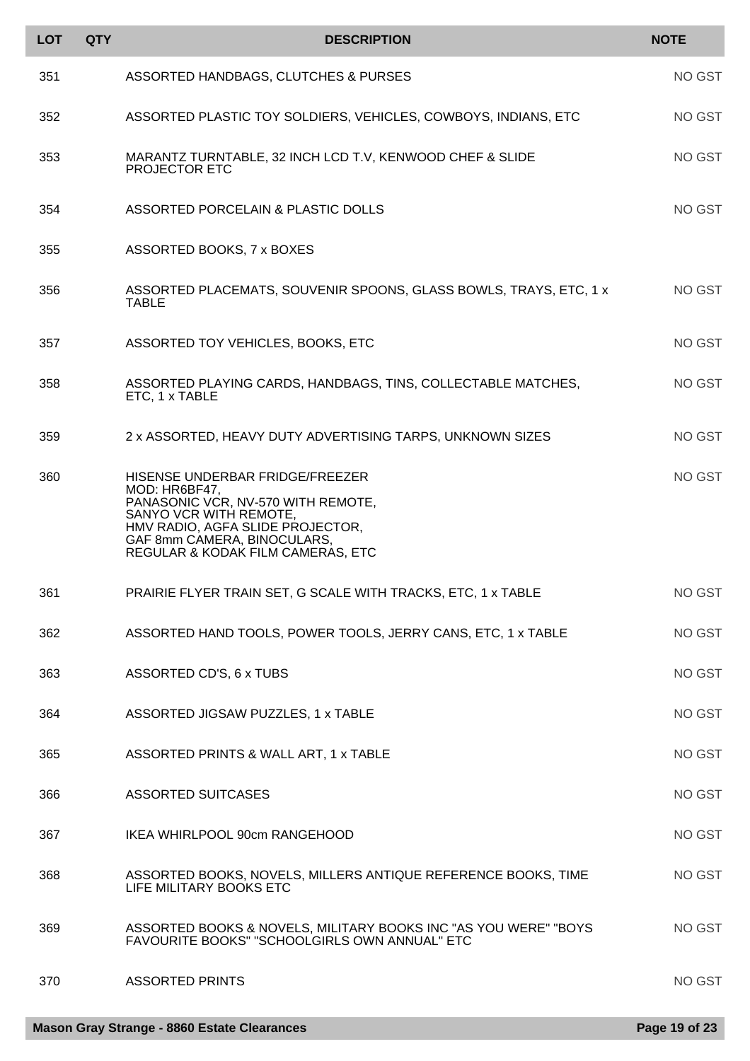| <b>LOT</b> | <b>QTY</b> | <b>DESCRIPTION</b>                                                                                                                                                                                                       | <b>NOTE</b> |
|------------|------------|--------------------------------------------------------------------------------------------------------------------------------------------------------------------------------------------------------------------------|-------------|
| 351        |            | ASSORTED HANDBAGS, CLUTCHES & PURSES                                                                                                                                                                                     | NO GST      |
| 352        |            | ASSORTED PLASTIC TOY SOLDIERS, VEHICLES, COWBOYS, INDIANS, ETC                                                                                                                                                           | NO GST      |
| 353        |            | MARANTZ TURNTABLE, 32 INCH LCD T.V, KENWOOD CHEF & SLIDE<br><b>PROJECTOR ETC</b>                                                                                                                                         | NO GST      |
| 354        |            | ASSORTED PORCELAIN & PLASTIC DOLLS                                                                                                                                                                                       | NO GST      |
| 355        |            | ASSORTED BOOKS, 7 x BOXES                                                                                                                                                                                                |             |
| 356        |            | ASSORTED PLACEMATS, SOUVENIR SPOONS, GLASS BOWLS, TRAYS, ETC, 1 x<br><b>TABLE</b>                                                                                                                                        | NO GST      |
| 357        |            | ASSORTED TOY VEHICLES, BOOKS, ETC                                                                                                                                                                                        | NO GST      |
| 358        |            | ASSORTED PLAYING CARDS, HANDBAGS, TINS, COLLECTABLE MATCHES,<br>ETC, 1 x TABLE                                                                                                                                           | NO GST      |
| 359        |            | 2 x ASSORTED, HEAVY DUTY ADVERTISING TARPS, UNKNOWN SIZES                                                                                                                                                                | NO GST      |
| 360        |            | HISENSE UNDERBAR FRIDGE/FREEZER<br>MOD: HR6BF47,<br>PANASONIC VCR, NV-570 WITH REMOTE,<br>SANYO VCR WITH REMOTE,<br>HMV RADIO, AGFA SLIDE PROJECTOR,<br>GAF 8mm CAMERA, BINOCULARS,<br>REGULAR & KODAK FILM CAMERAS, ETC | NO GST      |
| 361        |            | PRAIRIE FLYER TRAIN SET, G SCALE WITH TRACKS, ETC, 1 x TABLE                                                                                                                                                             | NO GST      |
| 362        |            | ASSORTED HAND TOOLS, POWER TOOLS, JERRY CANS, ETC, 1 x TABLE                                                                                                                                                             | NO GST      |
| 363        |            | ASSORTED CD'S, 6 x TUBS                                                                                                                                                                                                  | NO GST      |
| 364        |            | ASSORTED JIGSAW PUZZLES, 1 x TABLE                                                                                                                                                                                       | NO GST      |
| 365        |            | ASSORTED PRINTS & WALL ART, 1 x TABLE                                                                                                                                                                                    | NO GST      |
| 366        |            | <b>ASSORTED SUITCASES</b>                                                                                                                                                                                                | NO GST      |
| 367        |            | IKEA WHIRLPOOL 90cm RANGEHOOD                                                                                                                                                                                            | NO GST      |
| 368        |            | ASSORTED BOOKS, NOVELS, MILLERS ANTIQUE REFERENCE BOOKS, TIME<br>LIFE MILITARY BOOKS ETC                                                                                                                                 | NO GST      |
| 369        |            | ASSORTED BOOKS & NOVELS, MILITARY BOOKS INC "AS YOU WERE" "BOYS<br>FAVOURITE BOOKS" "SCHOOLGIRLS OWN ANNUAL" ETC                                                                                                         | NO GST      |
| 370        |            | <b>ASSORTED PRINTS</b>                                                                                                                                                                                                   | NO GST      |

I l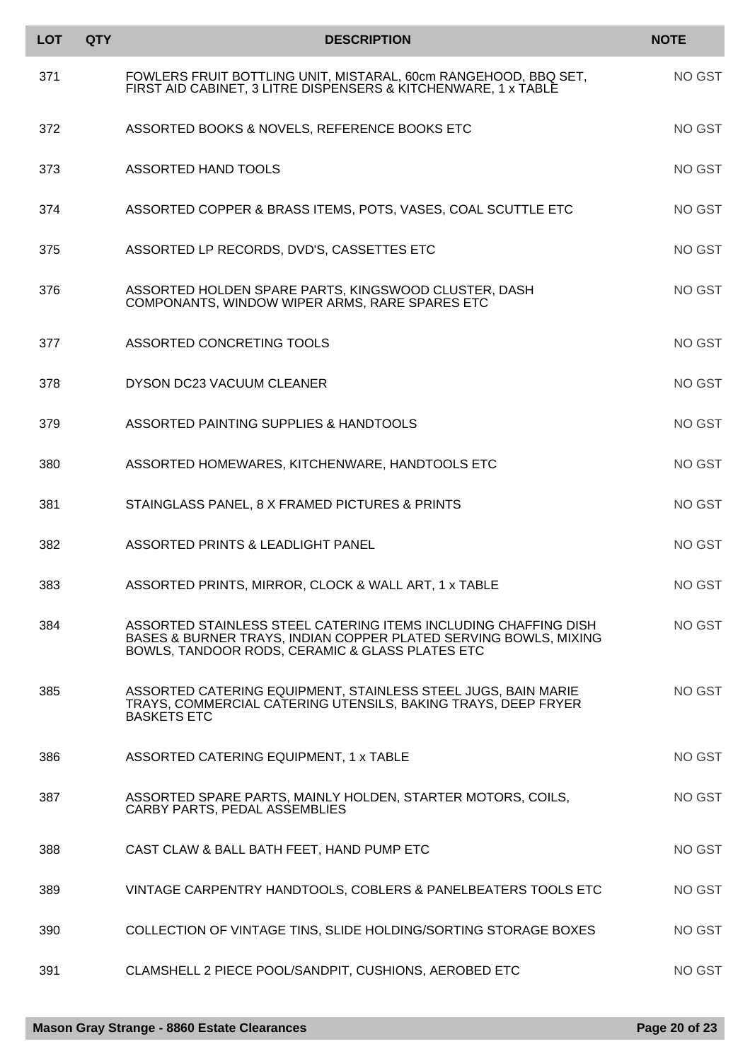| <b>LOT</b> | <b>QTY</b> | <b>DESCRIPTION</b>                                                                                                                                                                     | <b>NOTE</b>   |
|------------|------------|----------------------------------------------------------------------------------------------------------------------------------------------------------------------------------------|---------------|
| 371        |            | FOWLERS FRUIT BOTTLING UNIT, MISTARAL, 60cm RANGEHOOD, BBQ SET,<br>FIRST AID CABINET, 3 LITRE DISPENSERS & KITCHENWARE, 1 x TABLE                                                      | NO GST        |
| 372        |            | ASSORTED BOOKS & NOVELS, REFERENCE BOOKS ETC                                                                                                                                           | NO GST        |
| 373        |            | ASSORTED HAND TOOLS                                                                                                                                                                    | NO GST        |
| 374        |            | ASSORTED COPPER & BRASS ITEMS, POTS, VASES, COAL SCUTTLE ETC                                                                                                                           | NO GST        |
| 375        |            | ASSORTED LP RECORDS, DVD'S, CASSETTES ETC                                                                                                                                              | NO GST        |
| 376        |            | ASSORTED HOLDEN SPARE PARTS, KINGSWOOD CLUSTER, DASH<br>COMPONANTS, WINDOW WIPER ARMS, RARE SPARES ETC                                                                                 | NO GST        |
| 377        |            | ASSORTED CONCRETING TOOLS                                                                                                                                                              | NO GST        |
| 378        |            | DYSON DC23 VACUUM CLEANER                                                                                                                                                              | NO GST        |
| 379        |            | ASSORTED PAINTING SUPPLIES & HANDTOOLS                                                                                                                                                 | NO GST        |
| 380        |            | ASSORTED HOMEWARES, KITCHENWARE, HANDTOOLS ETC                                                                                                                                         | NO GST        |
| 381        |            | STAINGLASS PANEL, 8 X FRAMED PICTURES & PRINTS                                                                                                                                         | NO GST        |
| 382        |            | ASSORTED PRINTS & LEADLIGHT PANEL                                                                                                                                                      | <b>NO GST</b> |
| 383        |            | ASSORTED PRINTS, MIRROR, CLOCK & WALL ART, 1 x TABLE                                                                                                                                   | NO GST        |
| 384        |            | ASSORTED STAINLESS STEEL CATERING ITEMS INCLUDING CHAFFING DISH<br>BASES & BURNER TRAYS, INDIAN COPPER PLATED SERVING BOWLS, MIXING<br>BOWLS, TANDOOR RODS, CERAMIC & GLASS PLATES ETC | NO GST        |
| 385        |            | ASSORTED CATERING EQUIPMENT, STAINLESS STEEL JUGS, BAIN MARIE<br>TRAYS, COMMERCIAL CATERING UTENSILS, BAKING TRAYS, DEEP FRYER<br><b>BASKETS ETC</b>                                   | NO GST        |
| 386        |            | ASSORTED CATERING EQUIPMENT, 1 x TABLE                                                                                                                                                 | NO GST        |
| 387        |            | ASSORTED SPARE PARTS, MAINLY HOLDEN, STARTER MOTORS, COILS,<br>CARBY PARTS, PEDAL ASSEMBLIES                                                                                           | NO GST        |
| 388        |            | CAST CLAW & BALL BATH FEET, HAND PUMP ETC                                                                                                                                              | NO GST        |
| 389        |            | VINTAGE CARPENTRY HANDTOOLS, COBLERS & PANELBEATERS TOOLS ETC                                                                                                                          | NO GST        |
| 390        |            | COLLECTION OF VINTAGE TINS, SLIDE HOLDING/SORTING STORAGE BOXES                                                                                                                        | NO GST        |
| 391        |            | CLAMSHELL 2 PIECE POOL/SANDPIT, CUSHIONS, AEROBED ETC                                                                                                                                  | NO GST        |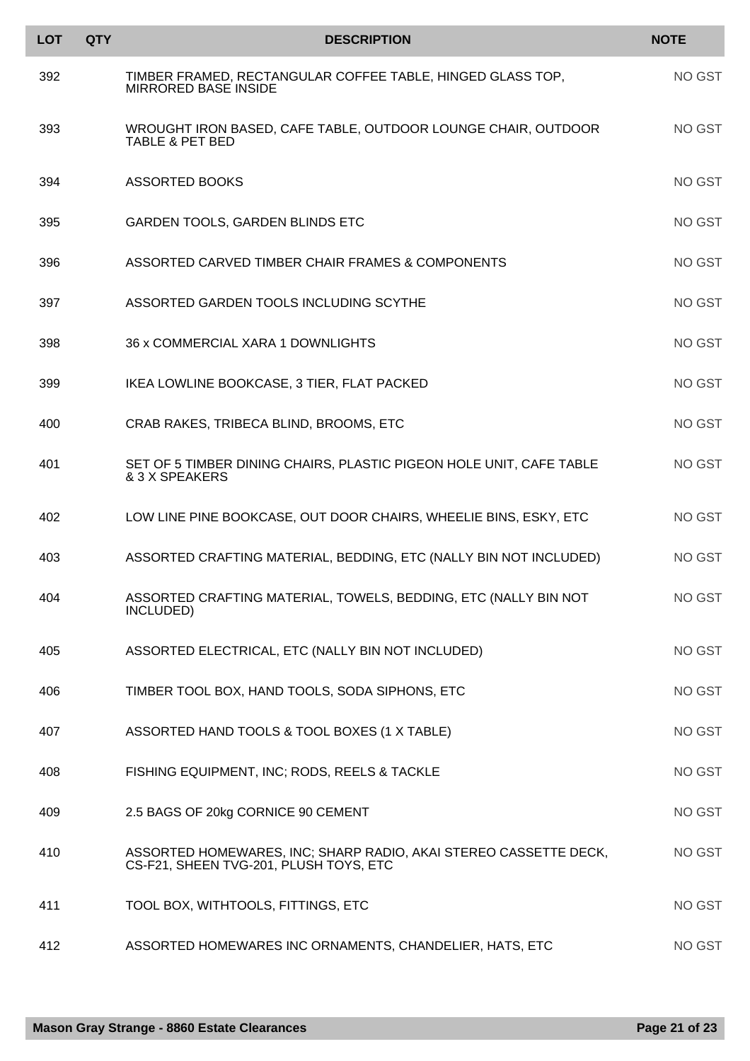| <b>LOT</b> | <b>QTY</b> | <b>DESCRIPTION</b>                                                                                         | <b>NOTE</b> |
|------------|------------|------------------------------------------------------------------------------------------------------------|-------------|
| 392        |            | TIMBER FRAMED, RECTANGULAR COFFEE TABLE, HINGED GLASS TOP,<br><b>MIRRORED BASE INSIDE</b>                  | NO GST      |
| 393        |            | WROUGHT IRON BASED, CAFE TABLE, OUTDOOR LOUNGE CHAIR, OUTDOOR<br><b>TABLE &amp; PET BED</b>                | NO GST      |
| 394        |            | <b>ASSORTED BOOKS</b>                                                                                      | NO GST      |
| 395        |            | GARDEN TOOLS, GARDEN BLINDS ETC                                                                            | NO GST      |
| 396        |            | ASSORTED CARVED TIMBER CHAIR FRAMES & COMPONENTS                                                           | NO GST      |
| 397        |            | ASSORTED GARDEN TOOLS INCLUDING SCYTHE                                                                     | NO GST      |
| 398        |            | 36 x COMMERCIAL XARA 1 DOWNLIGHTS                                                                          | NO GST      |
| 399        |            | IKEA LOWLINE BOOKCASE, 3 TIER, FLAT PACKED                                                                 | NO GST      |
| 400        |            | CRAB RAKES, TRIBECA BLIND, BROOMS, ETC                                                                     | NO GST      |
| 401        |            | SET OF 5 TIMBER DINING CHAIRS, PLASTIC PIGEON HOLE UNIT, CAFE TABLE<br>& 3 X SPEAKERS                      | NO GST      |
| 402        |            | LOW LINE PINE BOOKCASE, OUT DOOR CHAIRS, WHEELIE BINS, ESKY, ETC                                           | NO GST      |
| 403        |            | ASSORTED CRAFTING MATERIAL, BEDDING, ETC (NALLY BIN NOT INCLUDED)                                          | NO GST      |
| 404        |            | ASSORTED CRAFTING MATERIAL, TOWELS, BEDDING, ETC (NALLY BIN NOT<br>INCLUDED)                               | NO GST      |
| 405        |            | ASSORTED ELECTRICAL, ETC (NALLY BIN NOT INCLUDED)                                                          | NO GST      |
| 406        |            | TIMBER TOOL BOX, HAND TOOLS, SODA SIPHONS, ETC                                                             | NO GST      |
| 407        |            | ASSORTED HAND TOOLS & TOOL BOXES (1 X TABLE)                                                               | NO GST      |
| 408        |            | FISHING EQUIPMENT, INC; RODS, REELS & TACKLE                                                               | NO GST      |
| 409        |            | 2.5 BAGS OF 20kg CORNICE 90 CEMENT                                                                         | NO GST      |
| 410        |            | ASSORTED HOMEWARES, INC; SHARP RADIO, AKAI STEREO CASSETTE DECK,<br>CS-F21, SHEEN TVG-201, PLUSH TOYS, ETC | NO GST      |
| 411        |            | TOOL BOX, WITHTOOLS, FITTINGS, ETC                                                                         | NO GST      |
| 412        |            | ASSORTED HOMEWARES INC ORNAMENTS, CHANDELIER, HATS, ETC                                                    | NO GST      |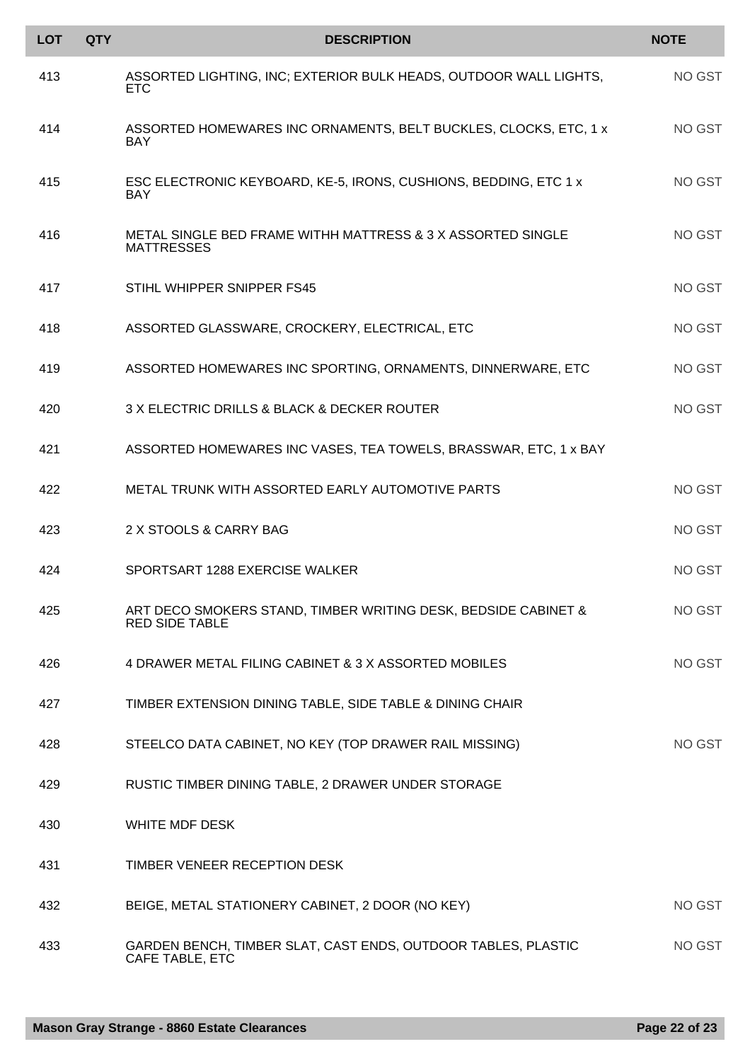| <b>LOT</b> | <b>QTY</b> | <b>DESCRIPTION</b>                                                                      | <b>NOTE</b> |
|------------|------------|-----------------------------------------------------------------------------------------|-------------|
| 413        |            | ASSORTED LIGHTING, INC; EXTERIOR BULK HEADS, OUTDOOR WALL LIGHTS,<br><b>ETC</b>         | NO GST      |
| 414        |            | ASSORTED HOMEWARES INC ORNAMENTS, BELT BUCKLES, CLOCKS, ETC, 1 x<br><b>BAY</b>          | NO GST      |
| 415        |            | ESC ELECTRONIC KEYBOARD, KE-5, IRONS, CUSHIONS, BEDDING, ETC 1 x<br><b>BAY</b>          | NO GST      |
| 416        |            | METAL SINGLE BED FRAME WITHH MATTRESS & 3 X ASSORTED SINGLE<br><b>MATTRESSES</b>        | NO GST      |
| 417        |            | STIHL WHIPPER SNIPPER FS45                                                              | NO GST      |
| 418        |            | ASSORTED GLASSWARE, CROCKERY, ELECTRICAL, ETC                                           | NO GST      |
| 419        |            | ASSORTED HOMEWARES INC SPORTING, ORNAMENTS, DINNERWARE, ETC                             | NO GST      |
| 420        |            | 3 X ELECTRIC DRILLS & BLACK & DECKER ROUTER                                             | NO GST      |
| 421        |            | ASSORTED HOMEWARES INC VASES, TEA TOWELS, BRASSWAR, ETC, 1 x BAY                        |             |
| 422        |            | METAL TRUNK WITH ASSORTED EARLY AUTOMOTIVE PARTS                                        | NO GST      |
| 423        |            | 2 X STOOLS & CARRY BAG                                                                  | NO GST      |
| 424        |            | SPORTSART 1288 EXERCISE WALKER                                                          | NO GST      |
| 425        |            | ART DECO SMOKERS STAND, TIMBER WRITING DESK, BEDSIDE CABINET &<br><b>RED SIDE TABLE</b> | NO GST      |
| 426        |            | 4 DRAWER METAL FILING CABINET & 3 X ASSORTED MOBILES                                    | NO GST      |
| 427        |            | TIMBER EXTENSION DINING TABLE, SIDE TABLE & DINING CHAIR                                |             |
| 428        |            | STEELCO DATA CABINET, NO KEY (TOP DRAWER RAIL MISSING)                                  | NO GST      |
| 429        |            | RUSTIC TIMBER DINING TABLE, 2 DRAWER UNDER STORAGE                                      |             |
| 430        |            | WHITE MDF DESK                                                                          |             |
| 431        |            | TIMBER VENEER RECEPTION DESK                                                            |             |
| 432        |            | BEIGE, METAL STATIONERY CABINET, 2 DOOR (NO KEY)                                        | NO GST      |
| 433        |            | GARDEN BENCH, TIMBER SLAT, CAST ENDS, OUTDOOR TABLES, PLASTIC<br>CAFE TABLE, ETC        | NO GST      |